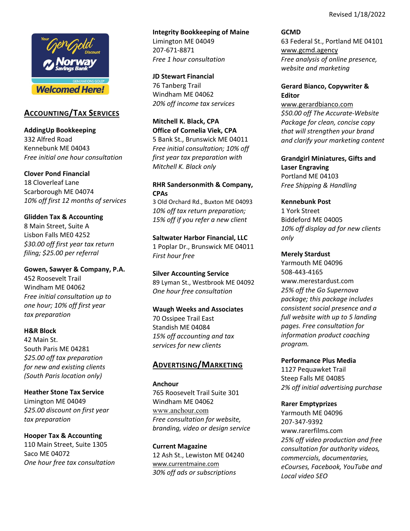Revised 1/18/2022



# **ACCOUNTING/TAX SERVICES**

**AddingUp Bookkeeping** 332 Alfred Road Kennebunk ME 04043 *Free initial one hour consultation*

### **Clover Pond Financial**

18 Cloverleaf Lane Scarborough ME 04074 *10% off first 12 months of services*

## **Glidden Tax & Accounting**

8 Main Street, Suite A Lisbon Falls ME0 4252 *\$30.00 off first year tax return filing; \$25.00 per referral*

**Gowen, Sawyer & Company, P.A.** 452 Roosevelt Trail Windham ME 04062 *Free initial consultation up to one hour; 10% off first year tax preparation*

### **H&R Block**

42 Main St. South Paris ME 04281 *\$25.00 off tax preparation for new and existing clients (South Paris location only)*

**Heather Stone Tax Service** Limington ME 04049 *\$25.00 discount on first year tax preparation*

## **Hooper Tax & Accounting**

110 Main Street, Suite 1305 Saco ME 04072 *One hour free tax consultation*

**Integrity Bookkeeping of Maine** Limington ME 04049 207‐671‐8871 *Free 1 hour consultation*

**JD Stewart Financial**  76 Tanberg Trail Windham ME 04062 *20% off income tax services*

**Mitchell K. Black, CPA Office of Cornelia Viek, CPA** 5 Bank St., Brunswick ME 04011 *Free initial consultation; 10% off first year tax preparation with Mitchell K. Black only*

## **RHR Sandersonmith & Company, CPAs**

3 Old Orchard Rd., Buxton ME 04093 *10% off tax return preparation; 15% off if you refer a new client*

**Saltwater Harbor Financial, LLC** 1 Poplar Dr., Brunswick ME 04011 *First hour free*

**Silver Accounting Service** 89 Lyman St., Westbrook ME 04092 *One hour free consultation* 

# **Waugh Weeks and Associates**

70 Ossipee Trail East Standish ME 04084 *15% off accounting and tax services for new clients*

# **ADVERTISING/MARKETING**

### **Anchour**

765 Roosevelt Trail Suite 301 Windham ME 04062 www.anchour.com *Free consultation for website, branding, video or design service*

**Current Magazine** 12 Ash St., Lewiston ME 04240 www.currentmaine.com *30% off ads or subscriptions*

**GCMD**  63 Federal St., Portland ME 04101 www.gcmd.agency *Free analysis of online presence, website and marketing*

## **Gerard Bianco, Copywriter & Editor**

www.gerardbianco.com *\$50.00 off The Accurate‐Website Package for clean, concise copy that will strengthen your brand and clarify your marketing content*

**Grandgirl Miniatures, Gifts and Laser Engraving**  Portland ME 04103 *Free Shipping & Handling* 

### **Kennebunk Post**

1 York Street Biddeford ME 04005 *10% off display ad for new clients only*

### **Merely Stardust**

Yarmouth ME 04096 508‐443‐4165 www.merestardust.com *25% off the Go Supernova package; this package includes consistent social presence and a full website with up to 5 landing pages. Free consultation for information product coaching program.*

### **Performance Plus Media**

1127 Pequawket Trail Steep Falls ME 04085 *2% off initial advertising purchase*

## **Rarer Emptyprizes**

Yarmouth ME 04096 207‐347‐9392 www.rarerfilms.com *25% off video production and free consultation for authority videos, commercials, documentaries, eCourses, Facebook, YouTube and Local video SEO*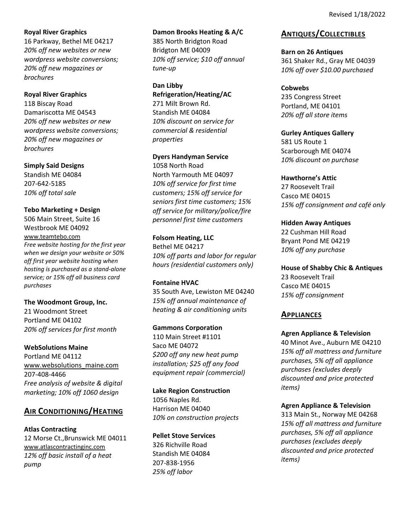## **Royal River Graphics**

16 Parkway, Bethel ME 04217 *20% off new websites or new wordpress website conversions; 20% off new magazines or brochures*

## **Royal River Graphics**

118 Biscay Road Damariscotta ME 04543 *20% off new websites or new wordpress website conversions; 20% off new magazines or brochures*

**Simply Said Designs** Standish ME 04084 207‐642‐5185 *10% off total sale*

## **Tebo Marketing + Design**

506 Main Street, Suite 16 Westbrook ME 04092 www.teamtebo.com *Free website hosting for the first year when we design your website or 50% off first year website hosting when hosting is purchased as a stand‐alone service; or 15% off all business card purchases*

## **The Woodmont Group, Inc.**

21 Woodmont Street Portland ME 04102 *20% off services for first month*

## **WebSolutions Maine**

Portland ME 04112 www.websolutions\_maine.com 207‐408‐4466 *Free analysis of website & digital marketing; 10% off 1060 design*

# **AIR CONDITIONING/HEATING**

## **Atlas Contracting**

12 Morse Ct.,Brunswick ME 04011 www.atlascontractinginc.com *12% off basic install of a heat pump*

### **Damon Brooks Heating & A/C**

385 North Bridgton Road Bridgton ME 04009 *10% off service; \$10 off annual tune‐up*

**Dan Libby Refrigeration/Heating/AC** 271 Milt Brown Rd. Standish ME 04084 *10% discount on service for commercial & residential*

*properties* 

## **Dyers Handyman Service**

1058 North Road North Yarmouth ME 04097 *10% off service for first time customers; 15% off service for seniors first time customers; 15% off service for military/police/fire personnel first time customers*

**Folsom Heating, LLC** Bethel ME 04217 *10% off parts and labor for regular hours (residential customers only)*

## **Fontaine HVAC**

35 South Ave, Lewiston ME 04240 *15% off annual maintenance of heating & air conditioning units*

## **Gammons Corporation**

110 Main Street #1101 Saco ME 04072 *\$200 off any new heat pump installation; \$25 off any food equipment repair (commercial)*

## **Lake Region Construction**

1056 Naples Rd. Harrison ME 04040 *10% on construction projects*

## **Pellet Stove Services**

326 Richville Road Standish ME 04084 207‐838‐1956 *25% off labor*

# **ANTIQUES/COLLECTIBLES**

### **Barn on 26 Antiques**

361 Shaker Rd., Gray ME 04039 *10% off over \$10.00 purchased*

## **Cobwebs**

235 Congress Street Portland, ME 04101 *20% off all store items* 

# **Gurley Antiques Gallery** 581 US Route 1

Scarborough ME 04074 *10% discount on purchase*

## **Hawthorne's Attic**

27 Roosevelt Trail Casco ME 04015 *15% off consignment and café only*

**Hidden Away Antiques**  22 Cushman Hill Road Bryant Pond ME 04219 *10% off any purchase*

**House of Shabby Chic & Antiques** 23 Roosevelt Trail Casco ME 04015 *15% off consignment*

# **APPLIANCES**

**Agren Appliance & Television** 40 Minot Ave., Auburn ME 04210 *15% off all mattress and furniture purchases, 5% off all appliance purchases (excludes deeply discounted and price protected items)*

## **Agren Appliance & Television**

313 Main St., Norway ME 04268 *15% off all mattress and furniture purchases, 5% off all appliance purchases (excludes deeply discounted and price protected items)*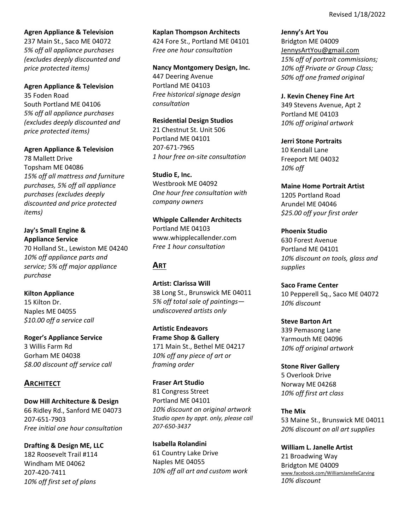### **Agren Appliance & Television**

237 Main St., Saco ME 04072 *5% off all appliance purchases (excludes deeply discounted and price protected items)*

### **Agren Appliance & Television** 35 Foden Road

South Portland ME 04106 *5% off all appliance purchases (excludes deeply discounted and price protected items)*

### **Agren Appliance & Television**

78 Mallett Drive Topsham ME 04086 *15% off all mattress and furniture purchases, 5% off all appliance purchases (excludes deeply discounted and price protected items)*

### **Jay's Small Engine & Appliance Service**

70 Holland St., Lewiston ME 04240 *10% off appliance parts and service; 5% off major appliance purchase*

## **Kilton Appliance**

15 Kilton Dr. Naples ME 04055 *\$10.00 off a service call*

## **Roger's Appliance Service**

3 Willis Farm Rd Gorham ME 04038 *\$8.00 discount off service call*

## **ARCHITECT**

**Dow Hill Architecture & Design** 66 Ridley Rd., Sanford ME 04073 207‐651‐7903 *Free initial one hour consultation*

**Drafting & Design ME, LLC** 182 Roosevelt Trail #114 Windham ME 04062 207‐420‐7411 *10% off first set of plans*

### **Kaplan Thompson Architects**

424 Fore St., Portland ME 04101 *Free one hour consultation*

# **Nancy Montgomery Design, Inc.**

447 Deering Avenue Portland ME 04103 *Free historical signage design consultation*

### **Residential Design Studios**

21 Chestnut St. Unit 506 Portland ME 04101 207‐671‐7965 *1 hour free on‐site consultation*

### **Studio E, Inc.**

Westbrook ME 04092 *One hour free consultation with company owners*

## **Whipple Callender Architects** Portland ME 04103

www.whipplecallender.com *Free 1 hour consultation*

# **ART**

**Artist: Clarissa Will** 38 Long St., Brunswick ME 04011 *5% off total sale of paintings undiscovered artists only*

**Artistic Endeavors Frame Shop & Gallery** 171 Main St., Bethel ME 04217 *10% off any piece of art or framing order*

**Fraser Art Studio** 81 Congress Street Portland ME 04101 *10% discount on original artwork Studio open by appt. only, please call 207‐650‐3437*

**Isabella Rolandini**  61 Country Lake Drive Naples ME 04055 *10% off all art and custom work* **Jenny's Art You** Bridgton ME 04009 JennysArtYou@gmail.com *15% off of portrait commissions; 10% off Private or Group Class; 50% off one framed original*

### **J. Kevin Cheney Fine Art**

349 Stevens Avenue, Apt 2 Portland ME 04103 *10% off original artwork*

## **Jerri Stone Portraits**

10 Kendall Lane Freeport ME 04032 *10% off* 

## **Maine Home Portrait Artist**

1205 Portland Road Arundel ME 04046 *\$25.00 off your first order*

**Phoenix Studio**  630 Forest Avenue Portland ME 04101 *10% discount on tools, glass and supplies*

**Saco Frame Center** 10 Pepperell Sq., Saco ME 04072 *10% discount*

**Steve Barton Art**  339 Pemasong Lane Yarmouth ME 04096 *10% off original artwork*

**Stone River Gallery** 5 Overlook Drive Norway ME 04268 *10% off first art class*

**The Mix** 53 Maine St., Brunswick ME 04011 *20% discount on all art supplies*

**William L. Janelle Artist** 21 Broadwing Way Bridgton ME 04009 www.facebook.com/WilliamJanelleCarving *10% discount*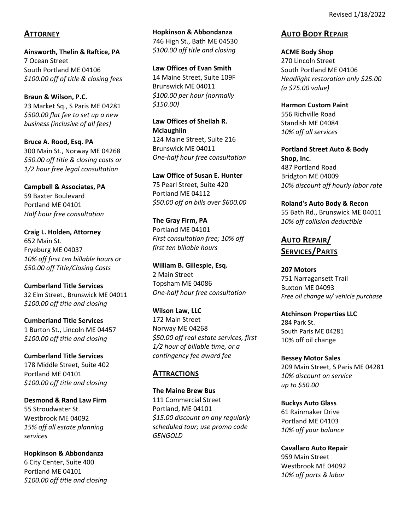## **ATTORNEY**

**Ainsworth, Thelin & Raftice, PA** 7 Ocean Street South Portland ME 04106 *\$100.00 off of title & closing fees*

**Braun & Wilson, P.C.** 23 Market Sq., S Paris ME 04281 *\$500.00 flat fee to set up a new business (inclusive of all fees)*

**Bruce A. Rood, Esq. PA** 300 Main St., Norway ME 04268 *\$50.00 off title & closing costs or 1/2 hour free legal consultation*

**Campbell & Associates, PA** 59 Baxter Boulevard Portland ME 04101 *Half hour free consultation*

**Craig L. Holden, Attorney**  652 Main St. Fryeburg ME 04037 *10% off first ten billable hours or \$50.00 off Title/Closing Costs*

**Cumberland Title Services** 32 Elm Street., Brunswick ME 04011 *\$100.00 off title and closing*

**Cumberland Title Services**  1 Burton St., Lincoln ME 04457 *\$100.00 off title and closing*

**Cumberland Title Services** 178 Middle Street, Suite 402 Portland ME 04101 *\$100.00 off title and closing*

**Desmond & Rand Law Firm** 55 Stroudwater St. Westbrook ME 04092 *15% off all estate planning services*

**Hopkinson & Abbondanza** 6 City Center, Suite 400 Portland ME 04101 *\$100.00 off title and closing* **Hopkinson & Abbondanza** 746 High St., Bath ME 04530 *\$100.00 off title and closing*

**Law Offices of Evan Smith** 14 Maine Street, Suite 109F Brunswick ME 04011 *\$100.00 per hour (normally \$150.00)*

**Law Offices of Sheilah R. Mclaughlin** 124 Maine Street, Suite 216 Brunswick ME 04011 *One‐half hour free consultation*

**Law Office of Susan E. Hunter** 75 Pearl Street, Suite 420 Portland ME 04112 *\$50.00 off on bills over \$600.00*

**The Gray Firm, PA** Portland ME 04101 *First consultation free; 10% off first ten billable hours*

**William B. Gillespie, Esq.** 2 Main Street Topsham ME 04086 *One‐half hour free consultation*

**Wilson Law, LLC**  172 Main Street Norway ME 04268 *\$50.00 off real estate services, first 1/2 hour of billable time, or a contingency fee award fee*

# **ATTRACTIONS**

**The Maine Brew Bus** 111 Commercial Street Portland, ME 04101 *\$15.00 discount on any regularly scheduled tour; use promo code GENGOLD*

## **AUTO BODY REPAIR**

**ACME Body Shop**  270 Lincoln Street South Portland ME 04106 *Headlight restoration only \$25.00 (a \$75.00 value)*

**Harmon Custom Paint** 556 Richville Road Standish ME 04084 *10% off all services*

**Portland Street Auto & Body Shop, Inc.** 487 Portland Road Bridgton ME 04009 *10% discount off hourly labor rate*

**Roland's Auto Body & Recon** 55 Bath Rd., Brunswick ME 04011 *10% off collision deductible*

**AUTO REPAIR/ SERVICES/PARTS**

**207 Motors** 751 Narragansett Trail Buxton ME 04093 *Free oil change w/ vehicle purchase* 

**Atchinson Properties LLC** 284 Park St. South Paris ME 04281 10% off oil change

**Bessey Motor Sales** 209 Main Street, S Paris ME 04281 *10% discount on service up to \$50.00*

**Buckys Auto Glass** 61 Rainmaker Drive Portland ME 04103 *10% off your balance*

**Cavallaro Auto Repair** 959 Main Street Westbrook ME 04092 *10% off parts & labor*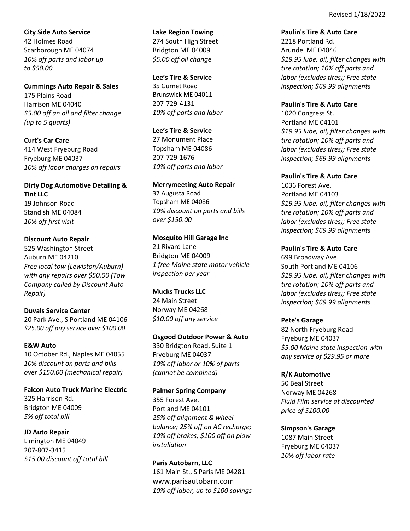**City Side Auto Service** 42 Holmes Road Scarborough ME 04074 *10% off parts and labor up to \$50.00*

**Cummings Auto Repair & Sales** 175 Plains Road Harrison ME 04040 *\$5.00 off an oil and filter change (up to 5 quarts)*

**Curt's Car Care** 414 West Fryeburg Road Fryeburg ME 04037 *10% off labor charges on repairs*

**Dirty Dog Automotive Detailing & Tint LLC** 19 Johnson Road Standish ME 04084 *10% off first visit*

**Discount Auto Repair** 525 Washington Street Auburn ME 04210 *Free local tow (Lewiston/Auburn) with any repairs over \$50.00 (Tow Company called by Discount Auto Repair)*

**Duvals Service Center** 20 Park Ave., S Portland ME 04106 *\$25.00 off any service over \$100.00*

**E&W Auto** 10 October Rd., Naples ME 04055 *10% discount on parts and bills over \$150.00 (mechanical repair)*

**Falcon Auto Truck Marine Electric**  325 Harrison Rd. Bridgton ME 04009 *5% off total bill*

**JD Auto Repair** Limington ME 04049 207‐807‐3415 *\$15.00 discount off total bill* **Lake Region Towing** 274 South High Street Bridgton ME 04009 *\$5.00 off oil change*

**Lee's Tire & Service** 35 Gurnet Road Brunswick ME 04011 207‐729‐4131 *10% off parts and labor*

**Lee's Tire & Service** 27 Monument Place Topsham ME 04086 207‐729‐1676 *10% off parts and labor*

**Merrymeeting Auto Repair** 37 Augusta Road Topsham ME 04086 *10% discount on parts and bills over \$150.00*

**Mosquito Hill Garage Inc** 21 Rivard Lane Bridgton ME 04009 *1 free Maine state motor vehicle inspection per year*

**Mucks Trucks LLC** 24 Main Street Norway ME 04268 *\$10.00 off any service* 

**Osgood Outdoor Power & Auto** 330 Bridgton Road, Suite 1 Fryeburg ME 04037 *10% off labor or 10% of parts (cannot be combined)*

**Palmer Spring Company** 355 Forest Ave. Portland ME 04101 *25% off alignment & wheel balance; 25% off on AC recharge; 10% off brakes; \$100 off on plow installation*

**Paris Autobarn, LLC** 161 Main St., S Paris ME 04281 www.parisautobarn.com *10% off labor, up to \$100 savings*

**Paulin's Tire & Auto Care** 2218 Portland Rd. Arundel ME 04046 *\$19.95 lube, oil, filter changes with tire rotation; 10% off parts and labor (excludes tires); Free state inspection; \$69.99 alignments*

**Paulin's Tire & Auto Care** 1020 Congress St. Portland ME 04101 *\$19.95 lube, oil, filter changes with tire rotation; 10% off parts and labor (excludes tires); Free state inspection; \$69.99 alignments*

**Paulin's Tire & Auto Care** 1036 Forest Ave. Portland ME 04103 *\$19.95 lube, oil, filter changes with tire rotation; 10% off parts and labor (excludes tires); Free state inspection; \$69.99 alignments*

**Paulin's Tire & Auto Care** 699 Broadway Ave. South Portland ME 04106 *\$19.95 lube, oil, filter changes with tire rotation; 10% off parts and labor (excludes tires); Free state inspection; \$69.99 alignments*

**Pete's Garage**  82 North Fryeburg Road Fryeburg ME 04037 *\$5.00 Maine state inspection with any service of \$29.95 or more*

**R/K Automotive**  50 Beal Street Norway ME 04268 *Fluid Film service at discounted price of \$100.00* 

**Simpson's Garage**  1087 Main Street Fryeburg ME 04037 *10% off labor rate*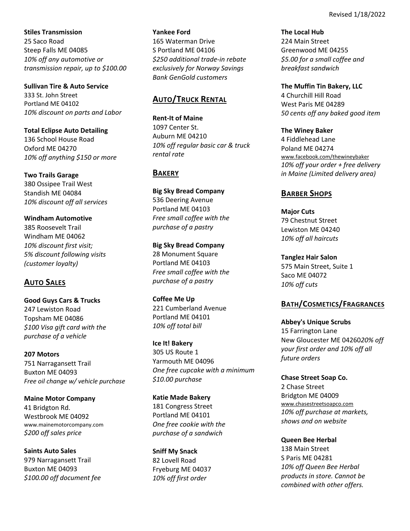**Stiles Transmission** 25 Saco Road Steep Falls ME 04085 *10% off any automotive or transmission repair, up to \$100.00*

**Sullivan Tire & Auto Service**  333 St. John Street Portland ME 04102 *10% discount on parts and Labor*

**Total Eclipse Auto Detailing** 136 School House Road Oxford ME 04270 *10% off anything \$150 or more*

**Two Trails Garage**  380 Ossipee Trail West Standish ME 04084 *10% discount off all services*

**Windham Automotive**  385 Roosevelt Trail Windham ME 04062 *10% discount first visit; 5% discount following visits (customer loyalty)*

# **AUTO SALES**

**Good Guys Cars & Trucks** 247 Lewiston Road Topsham ME 04086 *\$100 Visa gift card with the purchase of a vehicle*

**207 Motors** 751 Narragansett Trail Buxton ME 04093 *Free oil change w/ vehicle purchase* 

**Maine Motor Company** 41 Bridgton Rd. Westbrook ME 04092 www.mainemotorcompany.com *\$200 off sales price*

**Saints Auto Sales**  979 Narragansett Trail Buxton ME 04093 *\$100.00 off document fee*

### **Yankee Ford**

165 Waterman Drive S Portland ME 04106 *\$250 additional trade‐in rebate exclusively for Norway Savings Bank GenGold customers*

# **AUTO/TRUCK RENTAL**

**Rent‐It of Maine** 1097 Center St. Auburn ME 04210 *10% off regular basic car & truck rental rate*

# **BAKERY**

**Big Sky Bread Company**  536 Deering Avenue Portland ME 04103 *Free small coffee with the purchase of a pastry*

**Big Sky Bread Company**  28 Monument Square Portland ME 04103 *Free small coffee with the purchase of a pastry*

**Coffee Me Up** 221 Cumberland Avenue Portland ME 04101 *10% off total bill*

**Ice It! Bakery** 305 US Route 1 Yarmouth ME 04096 *One free cupcake with a minimum \$10.00 purchase*

**Katie Made Bakery** 181 Congress Street Portland ME 04101 *One free cookie with the purchase of a sandwich*

**Sniff My Snack** 82 Lovell Road Fryeburg ME 04037 *10% off first order*

**The Local Hub**  224 Main Street Greenwood ME 04255 *\$5.00 for a small coffee and breakfast sandwich*

**The Muffin Tin Bakery, LLC** 4 Churchill Hill Road West Paris ME 04289 *50 cents off any baked good item*

**The Winey Baker** 4 Fiddlehead Lane Poland ME 04274 www.facebook.com/thewineybaker *10% off your order + free delivery in Maine (Limited delivery area)* 

# **BARBER SHOPS**

**Major Cuts**  79 Chestnut Street Lewiston ME 04240 *10% off all haircuts*

**Tanglez Hair Salon** 575 Main Street, Suite 1 Saco ME 04072 *10% off cuts* 

# **BATH/COSMETICS/FRAGRANCES**

**Abbey's Unique Scrubs** 15 Farrington Lane New Gloucester ME 04260*20% off your first order and 10% off all future orders*

**Chase Street Soap Co.** 2 Chase Street Bridgton ME 04009 www.chasestreetsoapco.com *10% off purchase at markets, shows and on website*

**Queen Bee Herbal** 138 Main Street S Paris ME 04281 *10% off Queen Bee Herbal products in store. Cannot be combined with other offers.*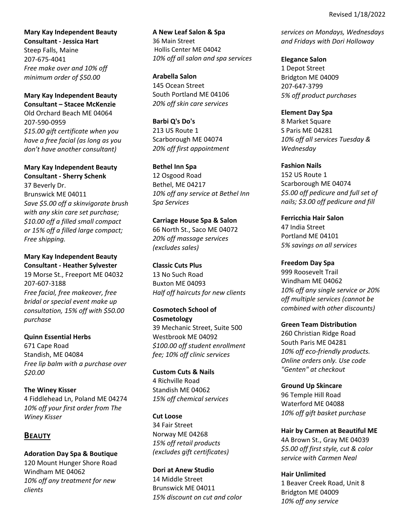**Mary Kay Independent Beauty Consultant ‐ Jessica Hart** Steep Falls, Maine

207‐675‐4041 *Free make over and 10% off minimum order of \$50.00*

**Mary Kay Independent Beauty Consultant – Stacee McKenzie** Old Orchard Beach ME 04064 207‐590‐0959 *\$15.00 gift certificate when you have a free facial (as long as you don't have another consultant)*

**Mary Kay Independent Beauty Consultant ‐ Sherry Schenk**

37 Beverly Dr. Brunswick ME 04011 *Save \$5.00 off a skinvigorate brush with any skin care set purchase; \$10.00 off a filled small compact or 15% off a filled large compact; Free shipping.*

**Mary Kay Independent Beauty Consultant ‐ Heather Sylvester** 19 Morse St., Freeport ME 04032 207‐607‐3188 *Free facial, free makeover, free bridal or special event make up consultation, 15% off with \$50.00 purchase*

**Quinn Essential Herbs** 671 Cape Road Standish, ME 04084 *Free lip balm with a purchase over \$20.00* 

**The Winey Kisser** 4 Fiddlehead Ln, Poland ME 04274 *10% off your first order from The Winey Kisser*

## **BEAUTY**

**Adoration Day Spa & Boutique** 120 Mount Hunger Shore Road Windham ME 04062 *10% off any treatment for new clients* 

**A New Leaf Salon & Spa** 36 Main Street Hollis Center ME 04042 *10% off all salon and spa services*

**Arabella Salon** 145 Ocean Street South Portland ME 04106 *20% off skin care services*

**Barbi Q's Do's** 213 US Route 1 Scarborough ME 04074 *20% off first appointment*

**Bethel Inn Spa** 12 Osgood Road Bethel, ME 04217 *10% off any service at Bethel Inn Spa Services*

**Carriage House Spa & Salon**  66 North St., Saco ME 04072 *20% off massage services (excludes sales)*

**Classic Cuts Plus** 13 No Such Road Buxton ME 04093 *Half off haircuts for new clients*

**Cosmotech School of Cosmetology** 39 Mechanic Street, Suite 500 Westbrook ME 04092 *\$100.00 off student enrollment fee; 10% off clinic services*

**Custom Cuts & Nails** 4 Richville Road Standish ME 04062 *15% off chemical services*

**Cut Loose** 34 Fair Street Norway ME 04268 *15% off retail products (excludes gift certificates)*

**Dori at Anew Studio** 14 Middle Street Brunswick ME 04011 *15% discount on cut and color*  *services on Mondays, Wednesdays and Fridays with Dori Holloway*

**Elegance Salon** 1 Depot Street Bridgton ME 04009 207‐647‐3799 *5% off product purchases*

**Element Day Spa** 8 Market Square S Paris ME 04281 *10% off all services Tuesday & Wednesday*

**Fashion Nails** 152 US Route 1 Scarborough ME 04074 *\$5.00 off pedicure and full set of nails; \$3.00 off pedicure and fill*

**Ferricchia Hair Salon** 47 India Street Portland ME 04101 *5% savings on all services*

**Freedom Day Spa** 999 Roosevelt Trail Windham ME 04062 *10% off any single service or 20% off multiple services (cannot be combined with other discounts)*

**Green Team Distribution** 260 Christian Ridge Road South Paris ME 04281 *10% off eco‐friendly products. Online orders only. Use code "Genten" at checkout*

**Ground Up Skincare** 96 Temple Hill Road Waterford ME 04088 *10% off gift basket purchase*

**Hair by Carmen at Beautiful ME**  4A Brown St., Gray ME 04039 *\$5.00 off first style, cut & color service with Carmen Neal*

**Hair Unlimited**  1 Beaver Creek Road, Unit 8 Bridgton ME 04009 *10% off any service*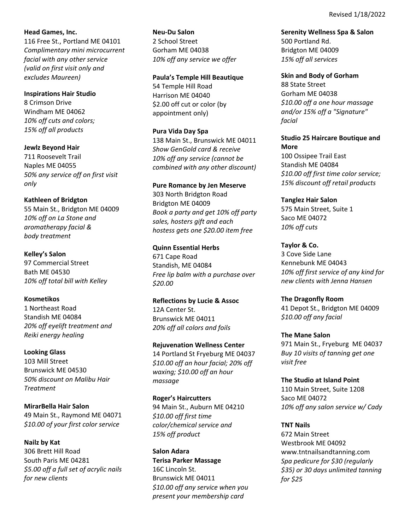Revised 1/18/2022

**Head Games, Inc.** 116 Free St., Portland ME 04101 *Complimentary mini microcurrent facial with any other service (valid on first visit only and excludes Maureen)*

**Inspirations Hair Studio** 8 Crimson Drive Windham ME 04062 *10% off cuts and colors; 15% off all products*

**Jewlz Beyond Hair**  711 Roosevelt Trail Naples ME 04055 *50% any service off on first visit only* 

**Kathleen of Bridgton** 55 Main St., Bridgton ME 04009 *10% off on La Stone and aromatherapy facial & body treatment*

**Kelley's Salon** 97 Commercial Street Bath ME 04530 *10% off total bill with Kelley*

**Kosmetikos** 1 Northeast Road Standish ME 04084 *20% off eyelift treatment and Reiki energy healing*

**Looking Glass** 103 Mill Street Brunswick ME 04530 *50% discount on Malibu Hair Treatment*

**MirarBella Hair Salon** 49 Main St., Raymond ME 04071 *\$10.00 of your first color service*

**Nailz by Kat**  306 Brett Hill Road South Paris ME 04281 *\$5.00 off a full set of acrylic nails for new clients*

**Neu‐Du Salon** 2 School Street Gorham ME 04038 *10% off any service we offer*

**Paula's Temple Hill Beautique** 54 Temple Hill Road Harrison ME 04040 \$2.00 off cut or color (by appointment only)

**Pura Vida Day Spa** 138 Main St., Brunswick ME 04011 *Show GenGold card & receive 10% off any service (cannot be combined with any other discount)*

**Pure Romance by Jen Meserve** 303 North Bridgton Road Bridgton ME 04009 *Book a party and get 10% off party sales, hosters gift and each hostess gets one \$20.00 item free*

**Quinn Essential Herbs** 671 Cape Road Standish, ME 04084 *Free lip balm with a purchase over \$20.00* 

**Reflections by Lucie & Assoc** 12A Center St. Brunswick ME 04011 *20% off all colors and foils*

**Rejuvenation Wellness Center** 14 Portland St Fryeburg ME 04037 *\$10.00 off an hour facial; 20% off waxing; \$10.00 off an hour massage*

**Roger's Haircutters** 94 Main St., Auburn ME 04210 *\$10.00 off first time color/chemical service and 15% off product*

**Salon Adara Terisa Parker Massage** 16C Lincoln St. Brunswick ME 04011 *\$10.00 off any service when you present your membership card*

**Serenity Wellness Spa & Salon**  500 Portland Rd. Bridgton ME 04009 *15% off all services*

**Skin and Body of Gorham**  88 State Street Gorham ME 04038 *\$10.00 off a one hour massage and/or 15% off a "Signature" facial*

**Studio 25 Haircare Boutique and More**

100 Ossipee Trail East Standish ME 04084 *\$10.00 off first time color service; 15% discount off retail products*

**Tanglez Hair Salon** 575 Main Street, Suite 1 Saco ME 04072 *10% off cuts* 

**Taylor & Co.** 3 Cove Side Lane Kennebunk ME 04043 *10% off first service of any kind for new clients with Jenna Hansen*

**The Dragonfly Room** 41 Depot St., Bridgton ME 04009 *\$10.00 off any facial*

**The Mane Salon** 971 Main St., Fryeburg ME 04037 *Buy 10 visits of tanning get one visit free*

**The Studio at Island Point** 110 Main Street, Suite 1208 Saco ME 04072 *10% off any salon service w/ Cady*

**TNT Nails** 672 Main Street Westbrook ME 04092 www.tntnailsandtanning.com *Spa pedicure for \$30 (regularly \$35) or 30 days unlimited tanning for \$25*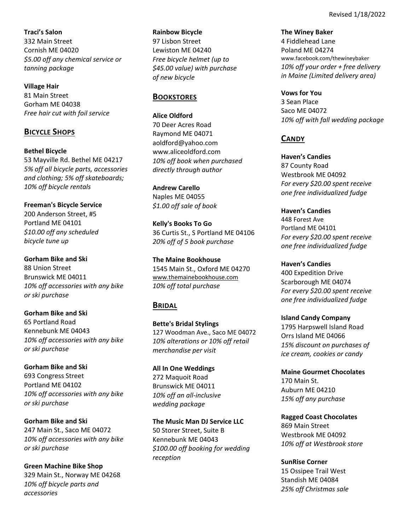**Traci's Salon** 332 Main Street Cornish ME 04020 *\$5.00 off any chemical service or tanning package*

**Village Hair** 81 Main Street Gorham ME 04038 *Free hair cut with foil service*

# **BICYCLE SHOPS**

**Bethel Bicycle** 53 Mayville Rd. Bethel ME 04217 *5% off all bicycle parts, accessories and clothing; 5% off skateboards;* 

**Freeman's Bicycle Service** 200 Anderson Street, #5 Portland ME 04101 *\$10.00 off any scheduled bicycle tune up*

*10% off bicycle rentals*

**Gorham Bike and Ski** 88 Union Street Brunswick ME 04011 *10% off accessories with any bike or ski purchase*

**Gorham Bike and Ski** 65 Portland Road Kennebunk ME 04043 *10% off accessories with any bike or ski purchase*

**Gorham Bike and Ski** 693 Congress Street Portland ME 04102 *10% off accessories with any bike or ski purchase*

**Gorham Bike and Ski** 247 Main St., Saco ME 04072 *10% off accessories with any bike or ski purchase*

**Green Machine Bike Shop** 329 Main St., Norway ME 04268 *10% off bicycle parts and accessories*

**Rainbow Bicycle** 97 Lisbon Street Lewiston ME 04240 *Free bicycle helmet (up to \$45.00 value) with purchase of new bicycle*

# **BOOKSTORES**

**Alice Oldford** 70 Deer Acres Road Raymond ME 04071 aoldford@yahoo.com www.aliceoldford.com *10% off book when purchased directly through author* 

**Andrew Carello** Naples ME 04055 *\$1.00 off sale of book*

**Kelly's Books To Go** 36 Curtis St., S Portland ME 04106 *20% off of 5 book purchase*

**The Maine Bookhouse** 1545 Main St., Oxford ME 04270 www.themainebookhouse.com *10% off total purchase*

# **BRIDAL**

**Bette's Bridal Stylings** 127 Woodman Ave., Saco ME 04072 *10% alterations or 10% off retail merchandise per visit*

**All In One Weddings** 272 Maquoit Road Brunswick ME 04011 *10% off an all‐inclusive wedding package*

**The Music Man DJ Service LLC** 50 Storer Street, Suite B Kennebunk ME 04043 *\$100.00 off booking for wedding reception*

**The Winey Baker** 4 Fiddlehead Lane Poland ME 04274 www.facebook.com/thewineybaker *10% off your order + free delivery in Maine (Limited delivery area)* 

**Vows for You** 3 Sean Place Saco ME 04072 *10% off with fall wedding package*

# **CANDY**

**Haven's Candies** 87 County Road Westbrook ME 04092 *For every \$20.00 spent receive one free individualized fudge*

**Haven's Candies** 448 Forest Ave Portland ME 04101 *For every \$20.00 spent receive one free individualized fudge*

**Haven's Candies** 400 Expedition Drive Scarborough ME 04074 *For every \$20.00 spent receive one free individualized fudge*

**Island Candy Company**  1795 Harpswell Island Road Orrs Island ME 04066 *15% discount on purchases of ice cream, cookies or candy*

**Maine Gourmet Chocolates** 170 Main St. Auburn ME 04210 *15% off any purchase*

**Ragged Coast Chocolates** 869 Main Street Westbrook ME 04092 *10% off at Westbrook store*

**SunRise Corner** 15 Ossipee Trail West Standish ME 04084 *25% off Christmas sale*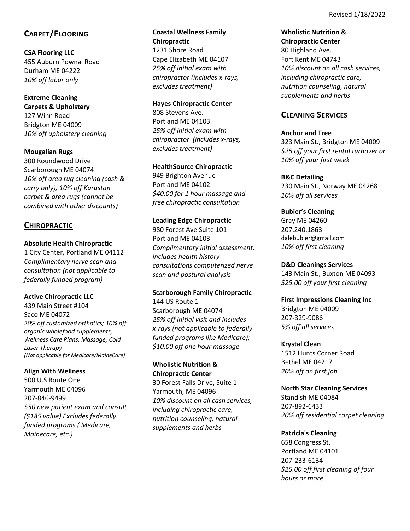# **CARPET/FLOORING**

**CSA Flooring LLC** 455 Auburn Pownal Road Durham ME 04222 *10% off labor only*

**Extreme Cleaning Carpets & Upholstery** 127 Winn Road Bridgton ME 04009 *10% off upholstery cleaning*

**Mougalian Rugs**  300 Roundwood Drive Scarborough ME 04074 *10% off area rug cleaning (cash & carry only); 10% off Karastan carpet & area rugs (cannot be combined with other discounts)*

# **CHIROPRACTIC**

## **Absolute Health Chiropractic**

1 City Center, Portland ME 04112 *Complimentary nerve scan and consultation (not applicable to federally funded program)*

**Active Chiropractic LLC**

439 Main Street #104 Saco ME 04072 *20% off customized orthotics; 10% off organic wholefood supplements, Wellness Care Plans, Massage, Cold Laser Therapy (Not applicable for Medicare/MaineCare)*

## **Align With Wellness**

500 U.S Route One Yarmouth ME 04096 207‐846‐9499 *\$50 new patient exam and consult (\$185 value) Excludes federally funded programs ( Medicare, Mainecare, etc.)*

**Coastal Wellness Family Chiropractic** 1231 Shore Road Cape Elizabeth ME 04107 *25% off initial exam with chiropractor (includes x‐rays, excludes treatment)*

**Hayes Chiropractic Center** 808 Stevens Ave. Portland ME 04103 *25% off initial exam with chiropractor (includes x‐rays, excludes treatment)*

**HealthSource Chiropractic** 949 Brighton Avenue Portland ME 04102 *\$40.00 for 1 hour massage and free chiropractic consultation*

**Leading Edge Chiropractic** 980 Forest Ave Suite 101 Portland ME 04103 *Complimentary initial assessment: includes health history consultations computerized nerve scan and postural analysis*

**Scarborough Family Chiropractic**  144 US Route 1 Scarborough ME 04074 *25% off initial visit and includes x‐rays (not applicable to federally funded programs like Medicare); \$10.00 off one hour massage*

**Wholistic Nutrition & Chiropractic Center**  30 Forest Falls Drive, Suite 1 Yarmouth, ME 04096 *10% discount on all cash services, including chiropractic care, nutrition counseling, natural supplements and herbs*

**Wholistic Nutrition & Chiropractic Center**  80 Highland Ave. Fort Kent ME 04743 *10% discount on all cash services, including chiropractic care, nutrition counseling, natural supplements and herbs*

# **CLEANING SERVICES**

## **Anchor and Tree**

323 Main St., Bridgton ME 04009 *\$25 off your first rental turnover or 10% off your first week*

**B&C Detailing** 

230 Main St., Norway ME 04268 *10% off all services* 

**Bubier's Cleaning** Gray ME 04260 207.240.1863 dalebubier@gmail.com *10% off first cleaning* 

**D&D Cleanings Services**  143 Main St., Buxton ME 04093 *\$25.00 off your first cleaning* 

**First Impressions Cleaning Inc**  Bridgton ME 04009

207‐329‐9086 *5% off all services*

**Krystal Clean**

1512 Hunts Corner Road Bethel ME 04217 *20% off on first job*

## **North Star Cleaning Services**

Standish ME 04084 207‐892‐6433 *20% off residential carpet cleaning* 

**Patricia's Cleaning**

658 Congress St. Portland ME 04101 207‐233‐6134 *\$25.00 off first cleaning of four hours or more*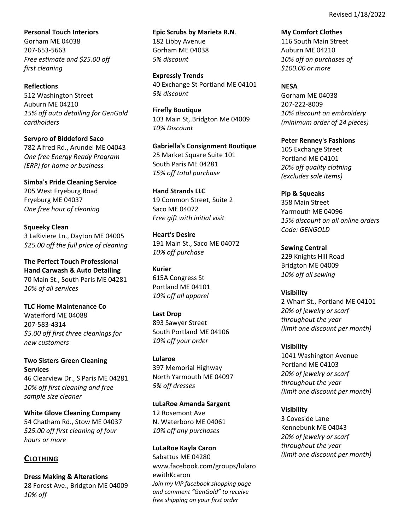**Personal Touch Interiors** Gorham ME 04038 207‐653‐5663 *Free estimate and \$25.00 off first cleaning*

**Reflections** 512 Washington Street Auburn ME 04210 *15% off auto detailing for GenGold cardholders*

**Servpro of Biddeford Saco** 782 Alfred Rd., Arundel ME 04043 *One free Energy Ready Program (ERP) for home or business*

**Simba's Pride Cleaning Service** 205 West Fryeburg Road Fryeburg ME 04037 *One free hour of cleaning*

**Squeeky Clean** 3 LaRiviere Ln., Dayton ME 04005 *\$25.00 off the full price of cleaning*

**The Perfect Touch Professional Hand Carwash & Auto Detailing** 70 Main St., South Paris ME 04281 *10% of all services*

**TLC Home Maintenance Co**  Waterford ME 04088 207‐583‐4314 *\$5.00 off first three cleanings for new customers*

**Two Sisters Green Cleaning Services**

46 Clearview Dr., S Paris ME 04281 *10% off first cleaning and free sample size cleaner*

**White Glove Cleaning Company** 54 Chatham Rd., Stow ME 04037 *\$25.00 off first cleaning of four hours or more*

# **CLOTHING**

**Dress Making & Alterations** 28 Forest Ave., Bridgton ME 04009 *10% off*

**Epic Scrubs by Marieta R.N**. 182 Libby Avenue Gorham ME 04038 *5% discount*

**Expressly Trends** 40 Exchange St Portland ME 04101 *5% discount*

**Firefly Boutique** 103 Main St,.Bridgton Me 04009 *10% Discount*

**Gabriella's Consignment Boutique** 25 Market Square Suite 101 South Paris ME 04281 *15% off total purchase* 

**Hand Strands LLC** 19 Common Street, Suite 2 Saco ME 04072 *Free gift with initial visit*

**Heart's Desire** 191 Main St., Saco ME 04072 *10% off purchase*

**Kurier** 615A Congress St Portland ME 04101 *10% off all apparel*

**Last Drop** 893 Sawyer Street South Portland ME 04106 *10% off your order*

**Lularoe** 397 Memorial Highway North Yarmouth ME 04097 *5% off dresses*

**LuLaRoe Amanda Sargent** 12 Rosemont Ave N. Waterboro ME 04061 *10% off any purchases*

**LuLaRoe Kayla Caron** Sabattus ME 04280 www.facebook.com/groups/lularo ewithKcaron *Join my VIP facebook shopping page and comment "GenGold" to receive free shipping on your first order*

**My Comfort Clothes** 116 South Main Street Auburn ME 04210 *10% off on purchases of \$100.00 or more*

## **NESA**

Gorham ME 04038 207‐222‐8009 *10% discount on embroidery (minimum order of 24 pieces)*

**Peter Renney's Fashions** 105 Exchange Street Portland ME 04101 *20% off quality clothing (excludes sale items)*

**Pip & Squeaks**  358 Main Street Yarmouth ME 04096 *15% discount on all online orders Code: GENGOLD*

**Sewing Central** 229 Knights Hill Road Bridgton ME 04009 *10% off all sewing*

**Visibility** 2 Wharf St., Portland ME 04101 *20% of jewelry or scarf throughout the year (limit one discount per month)*

**Visibility** 1041 Washington Avenue Portland ME 04103 *20% of jewelry or scarf throughout the year (limit one discount per month)*

**Visibility** 3 Coveside Lane Kennebunk ME 04043 *20% of jewelry or scarf throughout the year (limit one discount per month)*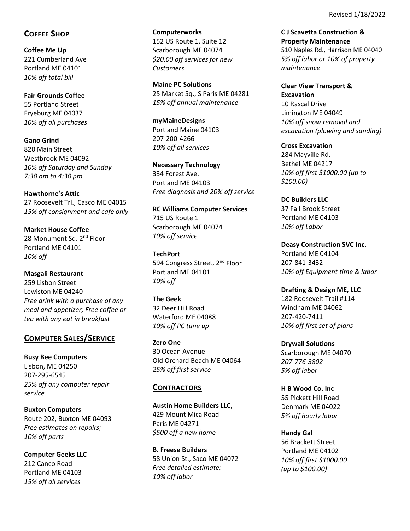# **COFFEE SHOP**

**Coffee Me Up** 221 Cumberland Ave Portland ME 04101 *10% off total bill*

**Fair Grounds Coffee** 55 Portland Street Fryeburg ME 04037 *10% off all purchases*

**Gano Grind** 820 Main Street Westbrook ME 04092 *10% off Saturday and Sunday 7:30 am to 4:30 pm*

**Hawthorne's Attic**  27 Roosevelt Trl., Casco ME 04015 *15% off consignment and café only*

**Market House Coffee** 28 Monument Sq. 2<sup>nd</sup> Floor Portland ME 04101 *10% off*

**Masgali Restaurant** 259 Lisbon Street Lewiston ME 04240 *Free drink with a purchase of any meal and appetizer; Free coffee or tea with any eat in breakfast*

# **COMPUTER SALES/SERVICE**

**Busy Bee Computers** Lisbon, ME 04250 207‐295‐6545 *25% off any computer repair service*

**Buxton Computers** Route 202, Buxton ME 04093 *Free estimates on repairs; 10% off parts*

**Computer Geeks LLC** 212 Canco Road Portland ME 04103 *15% off all services*

**Computerworks** 152 US Route 1, Suite 12 Scarborough ME 04074 *\$20.00 off services for new Customers*

**Maine PC Solutions** 25 Market Sq., S Paris ME 04281 *15% off annual maintenance*

**myMaineDesigns** Portland Maine 04103 207‐200‐4266 *10% off all services*

**Necessary Technology** 334 Forest Ave. Portland ME 04103 *Free diagnosis and 20% off service*

**RC Williams Computer Services** 715 US Route 1 Scarborough ME 04074 *10% off service*

**TechPort** 594 Congress Street, 2<sup>nd</sup> Floor Portland ME 04101 *10% off*

**The Geek**  32 Deer Hill Road Waterford ME 04088 *10% off PC tune up*

**Zero One** 30 Ocean Avenue Old Orchard Beach ME 04064 *25% off first service*

## **CONTRACTORS**

**Austin Home Builders LLC**, 429 Mount Mica Road Paris ME 04271 *\$500 off a new home*

**B. Freese Builders** 58 Union St., Saco ME 04072 *Free detailed estimate; 10% off labor*

**C J Scavetta Construction & Property Maintenance** 510 Naples Rd., Harrison ME 04040 *5% off labor or 10% of property maintenance*

**Clear View Transport & Excavation** 10 Rascal Drive Limington ME 04049 *10% off snow removal and excavation (plowing and sanding)*

**Cross Excavation**  284 Mayville Rd. Bethel ME 04217 *10% off first \$1000.00 (up to \$100.00)*

**DC Builders LLC** 37 Fall Brook Street Portland ME 04103 *10% off Labor*

**Deasy Construction SVC Inc.** Portland ME 04104 207‐841‐3432 *10% off Equipment time & labor*

**Drafting & Design ME, LLC** 182 Roosevelt Trail #114 Windham ME 04062 207‐420‐7411 *10% off first set of plans*

**Drywall Solutions** Scarborough ME 04070 *207‐776‐3802 5% off labor*

**H B Wood Co. Inc** 55 Pickett Hill Road Denmark ME 04022 *5% off hourly labor*

**Handy Gal**  56 Brackett Street Portland ME 04102 *10% off first \$1000.00 (up to \$100.00)*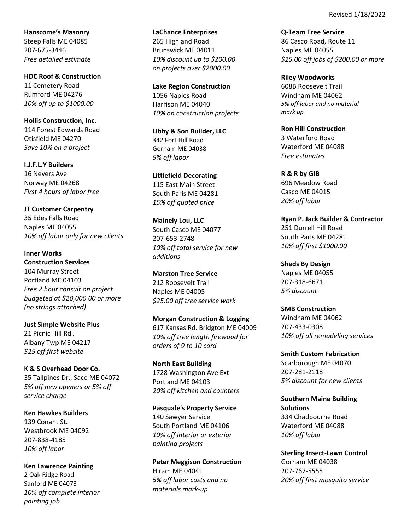Revised 1/18/2022

**Hanscome's Masonry** Steep Falls ME 04085 207‐675‐3446 *Free detailed estimate*

**HDC Roof & Construction** 11 Cemetery Road Rumford ME 04276 *10% off up to \$1000.00*

**Hollis Construction, Inc.** 114 Forest Edwards Road Otisfield ME 04270 *Save 10% on a project*

**I.J.F.L.Y Builders**  16 Nevers Ave Norway ME 04268 *First 4 hours of labor free*

**JT Customer Carpentry** 35 Edes Falls Road Naples ME 04055 *10% off labor only for new clients*

**Inner Works Construction Services** 104 Murray Street Portland ME 04103 *Free 2 hour consult on project budgeted at \$20,000.00 or more (no strings attached)*

**Just Simple Website Plus** 21 Picnic Hill Rd. Albany Twp ME 04217 *\$25 off first website*

**K & S Overhead Door Co.** 35 Tallpines Dr., Saco ME 04072 *5% off new openers or 5% off service charge*

**Ken Hawkes Builders** 139 Conant St. Westbrook ME 04092 207‐838‐4185 *10% off labor*

**Ken Lawrence Painting** 2 Oak Ridge Road Sanford ME 04073 *10% off complete interior painting job*

**LaChance Enterprises** 265 Highland Road Brunswick ME 04011 *10% discount up to \$200.00 on projects over \$2000.00*

**Lake Region Construction**  1056 Naples Road Harrison ME 04040 *10% on construction projects*

**Libby & Son Builder, LLC** 342 Fort Hill Road Gorham ME 04038 *5% off labor*

**Littlefield Decorating** 115 East Main Street South Paris ME 04281 *15% off quoted price*

**Mainely Lou, LLC** South Casco ME 04077 207‐653‐2748 *10% off total service for new additions*

**Marston Tree Service** 212 Roosevelt Trail Naples ME 04005 *\$25.00 off tree service work*

**Morgan Construction & Logging** 617 Kansas Rd. Bridgton ME 04009 *10% off tree length firewood for orders of 9 to 10 cord*

**North East Building** 1728 Washington Ave Ext Portland ME 04103 *20% off kitchen and counters*

**Pasquale's Property Service** 140 Sawyer Service South Portland ME 04106 *10% off interior or exterior painting projects*

**Peter Meggison Construction** Hiram ME 04041 *5% off labor costs and no materials mark‐up*

**Q‐Team Tree Service** 86 Casco Road, Route 11 Naples ME 04055 *\$25.00 off jobs of \$200.00 or more*

**Riley Woodworks**  608B Roosevelt Trail Windham ME 04062 *5% off labor and no material mark up*

**Ron Hill Construction** 3 Waterford Road Waterford ME 04088 *Free estimates*

**R & R by GIB**  696 Meadow Road Casco ME 04015 *20% off labor*

**Ryan P. Jack Builder & Contractor** 251 Durrell Hill Road South Paris ME 04281 *10% off first \$1000.00*

**Sheds By Design**  Naples ME 04055 207‐318‐6671 *5% discount*

**SMB Construction** Windham ME 04062 207‐433‐0308 *10% off all remodeling services*

**Smith Custom Fabrication** Scarborough ME 04070 207‐281‐2118 *5% discount for new clients*

**Southern Maine Building Solutions** 334 Chadbourne Road Waterford ME 04088 *10% off labor*

**Sterling Insect‐Lawn Control** Gorham ME 04038 207‐767‐5555 *20% off first mosquito service*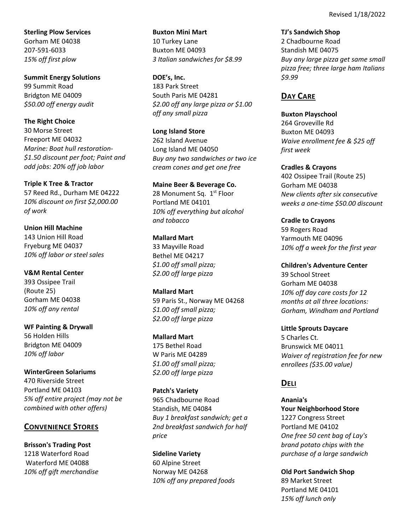**Sterling Plow Services** Gorham ME 04038 207‐591‐6033 *15% off first plow* 

**Summit Energy Solutions** 99 Summit Road Bridgton ME 04009 *\$50.00 off energy audit*

**The Right Choice** 30 Morse Street Freeport ME 04032 *Marine: Boat hull restoration‐ \$1.50 discount per foot; Paint and odd jobs: 20% off job labor*

**Triple K Tree & Tractor** 57 Reed Rd., Durham ME 04222 *10% discount on first \$2,000.00 of work*

**Union Hill Machine** 143 Union Hill Road Fryeburg ME 04037 *10% off labor or steel sales*

**V&M Rental Center** 393 Ossipee Trail (Route 25) Gorham ME 04038 *10% off any rental*

**WF Painting & Drywall**  56 Holden Hills Bridgton ME 04009 *10% off labor*

**WinterGreen Solariums**  470 Riverside Street Portland ME 04103 *5% off entire project (may not be combined with other offers)*

## **CONVENIENCE STORES**

**Brisson's Trading Post** 1218 Waterford Road Waterford ME 04088 *10% off gift merchandise* **Buxton Mini Mart**  10 Turkey Lane Buxton ME 04093 *3 Italian sandwiches for \$8.99*

**DOE's, Inc.** 183 Park Street South Paris ME 04281 *\$2.00 off any large pizza or \$1.00 off any small pizza*

**Long Island Store** 262 Island Avenue Long Island ME 04050 *Buy any two sandwiches or two ice cream cones and get one free*

**Maine Beer & Beverage Co.** 28 Monument Sq. 1<sup>st</sup> Floor Portland ME 04101 *10% off everything but alcohol and tobacco*

**Mallard Mart** 33 Mayville Road Bethel ME 04217 *\$1.00 off small pizza; \$2.00 off large pizza*

**Mallard Mart** 59 Paris St., Norway ME 04268 *\$1.00 off small pizza; \$2.00 off large pizza*

**Mallard Mart** 175 Bethel Road W Paris ME 04289 *\$1.00 off small pizza; \$2.00 off large pizza*

**Patch's Variety** 965 Chadbourne Road Standish, ME 04084 *Buy 1 breakfast sandwich; get a 2nd breakfast sandwich for half price*

**Sideline Variety** 60 Alpine Street Norway ME 04268 *10% off any prepared foods* **TJ's Sandwich Shop** 2 Chadbourne Road Standish ME 04075 *Buy any large pizza get same small pizza free; three large ham Italians \$9.99*

# **DAY CARE**

**Buxton Playschool** 264 Groveville Rd Buxton ME 04093 *Waive enrollment fee & \$25 off first week*

**Cradles & Crayons** 402 Ossipee Trail (Route 25) Gorham ME 04038 *New clients after six consecutive weeks a one‐time \$50.00 discount*

**Cradle to Crayons** 59 Rogers Road Yarmouth ME 04096 *10% off a week for the first year*

**Children's Adventure Center**  39 School Street Gorham ME 04038 *10% off day care costs for 12 months at all three locations: Gorham, Windham and Portland*

**Little Sprouts Daycare** 5 Charles Ct. Brunswick ME 04011 *Waiver of registration fee for new enrollees (\$35.00 value)*

# **DELI**

**Anania's Your Neighborhood Store** 1227 Congress Street Portland ME 04102 *One free 50 cent bag of Lay's brand potato chips with the purchase of a large sandwich*

**Old Port Sandwich Shop**  89 Market Street Portland ME 04101 *15% off lunch only*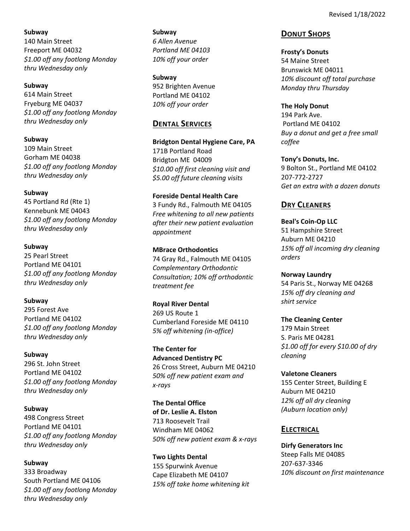**Subway** 140 Main Street Freeport ME 04032 *\$1.00 off any footlong Monday thru Wednesday only*

### **Subway**

614 Main Street Fryeburg ME 04037 *\$1.00 off any footlong Monday thru Wednesday only*

### **Subway**

109 Main Street Gorham ME 04038 *\$1.00 off any footlong Monday thru Wednesday only*

### **Subway**

45 Portland Rd (Rte 1) Kennebunk ME 04043 *\$1.00 off any footlong Monday thru Wednesday only*

### **Subway**

25 Pearl Street Portland ME 04101 *\$1.00 off any footlong Monday thru Wednesday only*

## **Subway**

295 Forest Ave Portland ME 04102 *\$1.00 off any footlong Monday thru Wednesday only*

### **Subway**

296 St. John Street Portland ME 04102 *\$1.00 off any footlong Monday thru Wednesday only*

## **Subway**

498 Congress Street Portland ME 04101 *\$1.00 off any footlong Monday thru Wednesday only*

## **Subway**

333 Broadway South Portland ME 04106 *\$1.00 off any footlong Monday thru Wednesday only*

**Subway**  *6 Allen Avenue Portland ME 04103 10% off your order*

**Subway**  952 Brighten Avenue Portland ME 04102 *10% off your order*

## **DENTAL SERVICES**

**Bridgton Dental Hygiene Care, PA** 171B Portland Road Bridgton ME 04009 *\$10.00 off first cleaning visit and \$5.00 off future cleaning visits*

## **Foreside Dental Health Care**

3 Fundy Rd., Falmouth ME 04105 *Free whitening to all new patients after their new patient evaluation appointment*

## **MBrace Orthodontics**

74 Gray Rd., Falmouth ME 04105 *Complementary Orthodontic Consultation; 10% off orthodontic treatment fee*

### **Royal River Dental**

269 US Route 1 Cumberland Foreside ME 04110 *5% off whitening (in‐office)*

**The Center for Advanced Dentistry PC** 26 Cross Street, Auburn ME 04210 *50% off new patient exam and x‐rays*

**The Dental Office of Dr. Leslie A. Elston**  713 Roosevelt Trail Windham ME 04062 *50% off new patient exam & x‐rays*

**Two Lights Dental** 155 Spurwink Avenue Cape Elizabeth ME 04107 *15% off take home whitening kit*

## **DONUT SHOPS**

**Frosty's Donuts** 54 Maine Street Brunswick ME 04011 *10% discount off total purchase Monday thru Thursday*

**The Holy Donut** 194 Park Ave. Portland ME 04102 *Buy a donut and get a free small*

**Tony's Donuts, Inc.** 9 Bolton St., Portland ME 04102 207‐772‐2727 *Get an extra with a dozen donuts*

# **DRY CLEANERS**

*coffee*

**Beal's Coin‐Op LLC**  51 Hampshire Street Auburn ME 04210 *15% off all incoming dry cleaning orders*

### **Norway Laundry**

54 Paris St., Norway ME 04268 *15% off dry cleaning and shirt service*

### **The Cleaning Center**

179 Main Street S. Paris ME 04281 *\$1.00 off for every \$10.00 of dry cleaning*

**Valetone Cleaners** 

155 Center Street, Building E Auburn ME 04210 *12% off all dry cleaning (Auburn location only)*

## **ELECTRICAL**

**Dirfy Generators Inc**  Steep Falls ME 04085 207‐637‐3346 *10% discount on first maintenance*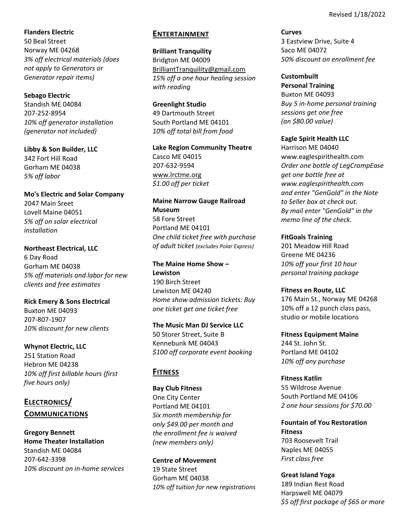**Flanders Electric** 50 Beal Street Norway ME 04268 *3% off electrical materials (does not apply to Generators or Generator repair items)*

**Sebago Electric**  Standish ME 04084 207‐252‐8954 *10% off generator installation (generator not included)*

**Libby & Son Builder, LLC** 342 Fort Hill Road Gorham ME 04038 *5% off labor*

**Mo's Electric and Solar Company** 2047 Main Sreet Lovell Maine 04051 *5% off on solar electrical installation*

**Northeast Electrical, LLC** 6 Day Road Gorham ME 04038 *5% off materials and labor for new clients and free estimates*

**Rick Emery & Sons Electrical** Buxton ME 04093 207‐807‐1907 *10% discount for new clients*

**Whynot Electric, LLC** 251 Station Road Hebron ME 04238 *10% off first billable hours (first five hours only)*

**ELECTRONICS/ COMMUNICATIONS**

**Gregory Bennett Home Theater Installation**  Standish ME 04084 207‐642‐3398 *10% discount on in‐home services*

## **ENTERTAINMENT**

**Brilliant Tranquility** Bridgton ME 04009 BrilliantTranquility@gmail.com *15% off a one hour healing session with reading*

**Greenlight Studio** 49 Dartmouth Street South Portland ME 04101 *10% off total bill from food*

**Lake Region Community Theatre** Casco ME 04015 207‐632‐9594 www.lrctme.org *\$1.00 off per ticket*

**Maine Narrow Gauge Railroad Museum** 58 Fore Street Portland ME 04101 *One child ticket free with purchase of adult ticket (excludes Polar Express)*

**The Maine Home Show – Lewiston** 190 Birch Street Lewiston ME 04240 *Home show admission tickets: Buy one ticket get one ticket free*

**The Music Man DJ Service LLC** 50 Storer Street, Suite B Kennebunk ME 04043 *\$100 off corporate event booking*

# **FITNESS**

**Bay Club Fitness** One City Center Portland ME 04101 *Six month membership for only \$49.00 per month and the enrollment fee is waived (new members only)*

**Centre of Movement**  19 State Street Gorham ME 04038 *10% off tuition for new registrations* **Curves**  3 Eastview Drive, Suite 4 Saco ME 04072 *50% discount on enrollment fee*

**Custombuilt Personal Training**  Buxton ME 04093 *Buy 5 in‐home personal training sessions get one free (an \$80.00 value)*

**Eagle Spirit Health LLC** Harrison ME 04040 www.eaglespirithealth.com *Order one bottle of LegCrampEase get one bottle free at www.eaglespirithealth.com and enter "GenGold" in the Note to Seller box at check out. By mail enter "GenGold" in the memo line of the check.*

**FitGoals Training** 201 Meadow Hill Road Greene ME 04236 *10% off your first 10 hour* 

*personal training package*

**Fitness en Route, LLC** 176 Main St., Norway ME 04268 10% off a 12 punch class pass, studio or mobile locations

**Fitness Equipment Maine** 244 St. John St. Portland ME 04102 *10% off any purchase*

**Fitness Katlin** 55 Wildrose Avenue South Portland ME 04106 *2 one hour sessions for \$70.00* 

**Fountain of You Restoration Fitness** 703 Roosevelt Trail Naples ME 04055 *First class free*

**Great Island Yoga** 189 Indian Rest Road Harpswell ME 04079 *\$5 off first package of \$65 or more*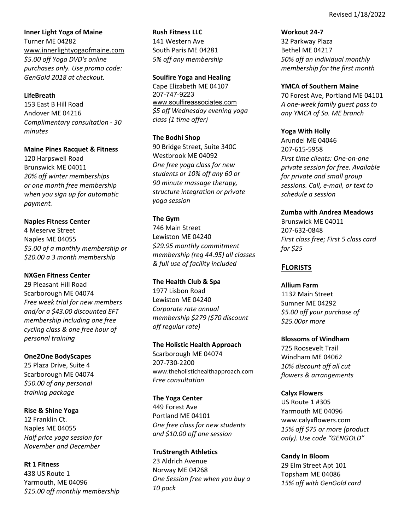**Inner Light Yoga of Maine** Turner ME 04282 www.innerlightyogaofmaine.com *\$5.00 off Yoga DVD's online purchases only. Use promo code: GenGold 2018 at checkout.*

### **LifeBreath**

153 East B Hill Road Andover ME 04216 *Complimentary consultation ‐ 30 minutes* 

#### **Maine Pines Racquet & Fitness**

120 Harpswell Road Brunswick ME 04011 *20% off winter memberships or one month free membership when you sign up for automatic payment.*

#### **Naples Fitness Center**

4 Meserve Street Naples ME 04055 *\$5.00 of a monthly membership or \$20.00 a 3 month membership*

#### **NXGen Fitness Center**

29 Pleasant Hill Road Scarborough ME 04074 *Free week trial for new members and/or a \$43.00 discounted EFT membership including one free cycling class & one free hour of personal training* 

#### **One2One BodyScapes**

25 Plaza Drive, Suite 4 Scarborough ME 04074 *\$50.00 of any personal training package*

#### **Rise & Shine Yoga**

12 Franklin Ct. Naples ME 04055 *Half price yoga session for November and December*

### **Rt 1 Fitness**

438 US Route 1 Yarmouth, ME 04096 *\$15.00 off monthly membership*

**Rush Fitness LLC**  141 Western Ave South Paris ME 04281 *5% off any membership*

#### **Soulfire Yoga and Healing**

Cape Elizabeth ME 04107 207-747-9223 www.soulfireassociates.com *\$5 off Wednesday evening yoga class (1 time offer)*

#### **The Bodhi Shop**

90 Bridge Street, Suite 340C Westbrook ME 04092 *One free yoga class for new students or 10% off any 60 or 90 minute massage therapy, structure integration or private yoga session*

#### **The Gym**

746 Main Street Lewiston ME 04240 *\$29.95 monthly commitment membership (reg 44.95) all classes & full use of facility included*

#### **The Health Club & Spa**

1977 Lisbon Road Lewiston ME 04240 *Corporate rate annual membership \$279 (\$70 discount off regular rate)*

#### **The Holistic Health Approach**

Scarborough ME 04074 207‐730‐2200 www.theholistichealthapproach.com *Free consultation*

### **The Yoga Center**

449 Forest Ave Portland ME 04101 *One free class for new students and \$10.00 off one session*

### **TruStrength Athletics**

23 Aldrich Avenue Norway ME 04268 *One Session free when you buy a 10 pack*

**Workout 24‐7** 32 Parkway Plaza Bethel ME 04217 *50% off an individual monthly membership for the first month*

#### **YMCA of Southern Maine**

70 Forest Ave, Portland ME 04101 *A one‐week family guest pass to any YMCA of So. ME branch*

#### **Yoga With Holly**

Arundel ME 04046 207‐615‐5958 *First time clients: One‐on‐one private session for free. Available for private and small group sessions. Call, e‐mail, or text to schedule a session*

### **Zumba with Andrea Meadows**

Brunswick ME 04011 207‐632‐0848 *First class free; First 5 class card for \$25*

### **FLORISTS**

#### **Allium Farm**

1132 Main Street Sumner ME 04292 *\$5.00 off your purchase of \$25.00or more*

### **Blossoms of Windham**

725 Roosevelt Trail Windham ME 04062 *10% discount off all cut flowers & arrangements*

#### **Calyx Flowers**

US Route 1 #305 Yarmouth ME 04096 www.calyxflowers.com *15% off \$75 or more (product only). Use code "GENGOLD"*

#### **Candy In Bloom**

29 Elm Street Apt 101 Topsham ME 04086 *15% off with GenGold card*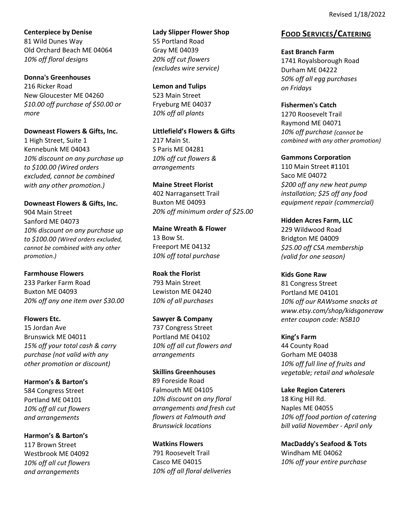**Centerpiece by Denise** 81 Wild Dunes Way Old Orchard Beach ME 04064 *10% off floral designs*

**Donna's Greenhouses** 216 Ricker Road New Gloucester ME 04260 *\$10.00 off purchase of \$50.00 or more*

**Downeast Flowers & Gifts, Inc.** 1 High Street, Suite 1 Kennebunk ME 04043 *10% discount on any purchase up to \$100.00 (Wired orders excluded, cannot be combined with any other promotion.)*

**Downeast Flowers & Gifts, Inc.** 904 Main Street Sanford ME 04073 *10% discount on any purchase up to \$100.00 (Wired orders excluded, cannot be combined with any other promotion.)*

**Farmhouse Flowers** 233 Parker Farm Road Buxton ME 04093 *20% off any one item over \$30.00*

**Flowers Etc.** 15 Jordan Ave Brunswick ME 04011 *15% off your total cash & carry purchase (not valid with any other promotion or discount)*

**Harmon's & Barton's** 584 Congress Street Portland ME 04101 *10% off all cut flowers and arrangements*

**Harmon's & Barton's** 117 Brown Street Westbrook ME 04092 *10% off all cut flowers and arrangements*

**Lady Slipper Flower Shop** 55 Portland Road Gray ME 04039 *20% off cut flowers (excludes wire service)*

**Lemon and Tulips** 523 Main Street Fryeburg ME 04037 *10% off all plants*

**Littlefield's Flowers & Gifts** 217 Main St. S Paris ME 04281 *10% off cut flowers & arrangements*

**Maine Street Florist** 402 Narragansett Trail Buxton ME 04093 *20% off minimum order of \$25.00*

**Maine Wreath & Flower** 13 Bow St. Freeport ME 04132 *10% off total purchase* 

**Roak the Florist** 793 Main Street Lewiston ME 04240 *10% of all purchases*

**Sawyer & Company** 737 Congress Street Portland ME 04102 *10% off all cut flowers and arrangements*

**Skillins Greenhouses** 89 Foreside Road Falmouth ME 04105 *10% discount on any floral arrangements and fresh cut flowers at Falmouth and Brunswick locations*

**Watkins Flowers** 791 Roosevelt Trail Casco ME 04015 *10% off all floral deliveries* **FOOD SERVICES/CATERING**

**East Branch Farm**  1741 Royalsborough Road Durham ME 04222 *50% off all egg purchases on Fridays*

**Fishermen's Catch** 1270 Roosevelt Trail Raymond ME 04071 *10% off purchase (cannot be combined with any other promotion)*

**Gammons Corporation** 110 Main Street #1101 Saco ME 04072 *\$200 off any new heat pump installation; \$25 off any food equipment repair (commercial)*

**Hidden Acres Farm, LLC** 229 Wildwood Road Bridgton ME 04009 *\$25.00 off CSA membership (valid for one season)*

**Kids Gone Raw** 81 Congress Street Portland ME 04101 *10% off our RAWsome snacks at www.etsy.com/shop/kidsgoneraw enter coupon code: NSB10*

**King's Farm** 44 County Road Gorham ME 04038 *10% off full line of fruits and vegetable; retail and wholesale*

**Lake Region Caterers** 18 King Hill Rd. Naples ME 04055 *10% off food portion of catering bill valid November ‐ April only*

**MacDaddy's Seafood & Tots** Windham ME 04062 *10% off your entire purchase*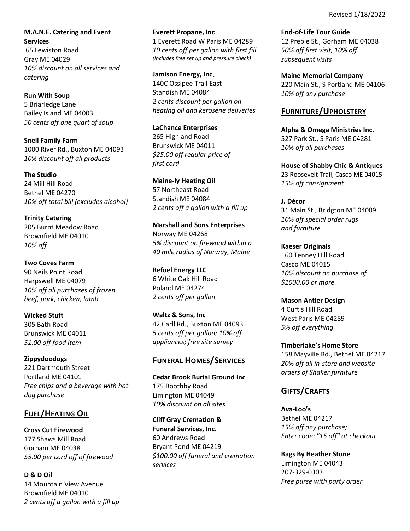Revised 1/18/2022

**M.A.N.E. Catering and Event Services** 65 Lewiston Road Gray ME 04029 *10% discount on all services and catering*

**Run With Soup** 5 Briarledge Lane Bailey Island ME 04003 *50 cents off one quart of soup*

**Snell Family Farm** 1000 River Rd., Buxton ME 04093 *10% discount off all products*

**The Studio** 24 Mill Hill Road Bethel ME 04270 *10% off total bill (excludes alcohol)*

**Trinity Catering** 205 Burnt Meadow Road Brownfield ME 04010 *10% off*

**Two Coves Farm** 90 Neils Point Road Harpswell ME 04079 *10% off all purchases of frozen beef, pork, chicken, lamb*

**Wicked Stuft** 305 Bath Road Brunswick ME 04011 *\$1.00 off food item*

**Zippydoodogs**  221 Dartmouth Street Portland ME 04101 *Free chips and a beverage with hot dog purchase*

# **FUEL/HEATING OIL**

**Cross Cut Firewood** 177 Shaws Mill Road Gorham ME 04038 *\$5.00 per cord off of firewood*

**D & D Oil** 14 Mountain View Avenue Brownfield ME 04010 *2 cents off a gallon with a fill up* **Everett Propane, Inc** 1 Everett Road W Paris ME 04289 *10 cents off per gallon with first fill (includes free set up and pressure check)*

**Jamison Energy, Inc.**  140C Ossipee Trail East Standish ME 04084 *2 cents discount per gallon on heating oil and kerosene deliveries*

**LaChance Enterprises** 265 Highland Road Brunswick ME 04011 *\$25.00 off regular price of first cord*

**Maine‐ly Heating Oil** 57 Northeast Road Standish ME 04084 *2 cents off a gallon with a fill up*

**Marshall and Sons Enterprises**  Norway ME 04268 *5% discount on firewood within a 40 mile radius of Norway, Maine*

**Refuel Energy LLC**  6 White Oak Hill Road Poland ME 04274 *2 cents off per gallon*

**Waltz & Sons, Inc**  42 Carll Rd., Buxton ME 04093 *5 cents off per gallon; 10% off appliances; free site survey*

# **FUNERAL HOMES/SERVICES**

**Cedar Brook Burial Ground Inc** 175 Boothby Road Limington ME 04049 *10% discount on all sites*

**Cliff Gray Cremation & Funeral Services, Inc.** 60 Andrews Road Bryant Pond ME 04219 *\$100.00 off funeral and cremation services*

**End‐of‐Life Tour Guide** 12 Preble St., Gorham ME 04038 *50% off first visit, 10% off subsequent visits*

**Maine Memorial Company**  220 Main St., S Portland ME 04106 *10% off any purchase* 

## **FURNITURE/UPHOLSTERY**

**Alpha & Omega Ministries Inc.** 527 Park St., S Paris ME 04281 *10% off all purchases*

**House of Shabby Chic & Antiques** 23 Roosevelt Trail, Casco ME 04015 *15% off consignment*

**J. Décor** 31 Main St., Bridgton ME 04009 *10% off special order rugs and furniture*

**Kaeser Originals**  160 Tenney Hill Road Casco ME 04015 *10% discount on purchase of \$1000.00 or more*

**Mason Antler Design** 4 Curtis Hill Road West Paris ME 04289 *5% off everything*

**Timberlake's Home Store** 158 Mayville Rd., Bethel ME 04217 *20% off all in‐store and website orders of Shaker furniture*

# **GIFTS/CRAFTS**

**Ava‐Loo's** Bethel ME 04217 *15% off any purchase; Enter code: "15 off" at checkout*

**Bags By Heather Stone** Limington ME 04043 207‐329‐0303 *Free purse with party order*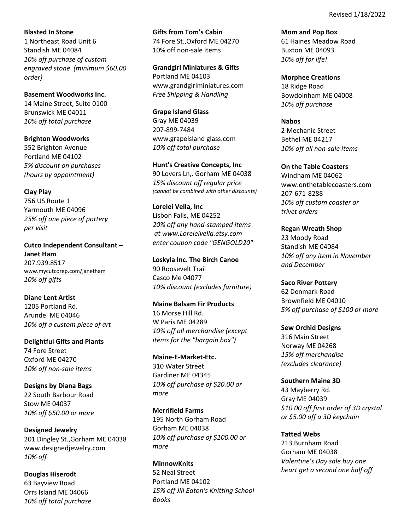**Blasted In Stone** 1 Northeast Road Unit 6 Standish ME 04084 *10% off purchase of custom engraved stone (minimum \$60.00 order)* 

**Basement Woodworks Inc.** 14 Maine Street, Suite 0100 Brunswick ME 04011 *10% off total purchase*

**Brighton Woodworks** 552 Brighton Avenue Portland ME 04102 *5% discount on purchases (hours by appointment)*

**Clay Play** 756 US Route 1 Yarmouth ME 04096 *25% off one piece of pottery per visit*

**Cutco Independent Consultant – Janet Ham** 207.939.8517 www.mycutcorep.com/janetham *10% off gifts*

**Diane Lent Artist** 1205 Portland Rd. Arundel ME 04046 *10% off a custom piece of art*

**Delightful Gifts and Plants**  74 Fore Street Oxford ME 04270 *10% off non‐sale items*

**Designs by Diana Bags** 22 South Barbour Road Stow ME 04037 *10% off \$50.00 or more* 

**Designed Jewelry** 201 Dingley St.,Gorham ME 04038 www.designedjewelry.com *10% off*

**Douglas Hiserodt**  63 Bayview Road Orrs Island ME 04066 *10% off total purchase* **Gifts from Tom's Cabin**  74 Fore St.,Oxford ME 04270 10% off non‐sale items

**Grandgirl Miniatures & Gifts** Portland ME 04103 www.grandgirlminiatures.com *Free Shipping & Handling* 

**Grape Island Glass** Gray ME 04039 207‐899‐7484 www.grapeisland glass.com *10% off total purchase*

**Hunt's Creative Concepts, Inc** 90 Lovers Ln,. Gorham ME 04038 *15% discount off regular price (cannot be combined with other discounts)*

**Lorelei Vella, Inc**  Lisbon Falls, ME 04252 *20% off any hand‐stamped items at www.Loreleivella.etsy.com enter coupon code "GENGOLD20"*

**Loskyla Inc. The Birch Canoe** 90 Roosevelt Trail Casco Me 04077 *10% discount (excludes furniture)*

**Maine Balsam Fir Products** 16 Morse Hill Rd. W Paris ME 04289 *10% off all merchandise (except items for the "bargain box")*

**Maine‐E‐Market‐Etc.** 310 Water Street Gardiner ME 04345 *10% off purchase of \$20.00 or more*

**Merrifield Farms** 195 North Gorham Road Gorham ME 04038 *10% off purchase of \$100.00 or more*

**MinnowKnits** 52 Neal Street Portland ME 04102 *15% off Jill Eaton's Knitting School Books*

**Mom and Pop Box** 61 Haines Meadow Road Buxton ME 04093 *10% off for life!*

**Morphee Creations** 18 Ridge Road Bowdoinham ME 04008 *10% off purchase*

**Nabos** 2 Mechanic Street Bethel ME 04217 *10% off all non‐sale items*

**On the Table Coasters** Windham ME 04062 www.onthetablecoasters.com 207‐671‐8288 *10% off custom coaster or trivet orders*

**Regan Wreath Shop** 23 Moody Road Standish ME 04084 *10% off any item in November and December*

**Saco River Pottery**  62 Denmark Road Brownfield ME 04010 *5% off purchase of \$100 or more* 

**Sew Orchid Designs** 316 Main Street Norway ME 04268 *15% off merchandise (excludes clearance)*

**Southern Maine 3D** 43 Mayberry Rd. Gray ME 04039 *\$10.00 off first order of 3D crystal or \$5.00 off a 3D keychain*

**Tatted Webs** 213 Burnham Road Gorham ME 04038 *Valentine's Day sale buy one heart get a second one half off*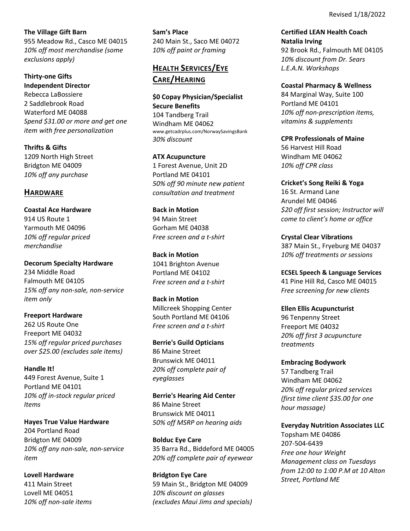**The Village Gift Barn**

955 Meadow Rd., Casco ME 04015 *10% off most merchandise (some exclusions apply)*

**Thirty‐one Gifts Independent Director** Rebecca LaBossiere 2 Saddlebrook Road Waterford ME 04088 *Spend \$31.00 or more and get one item with free personalization*

**Thrifts & Gifts**  1209 North High Street Bridgton ME 04009 *10% off any purchase*

# **HARDWARE**

**Coastal Ace Hardware**  914 US Route 1 Yarmouth ME 04096 *10% off regular priced merchandise*

**Decorum Specialty Hardware** 234 Middle Road Falmouth ME 04105 *15% off any non‐sale, non‐service item only*

**Freeport Hardware** 262 US Route One Freeport ME 04032 *15% off regular priced purchases over \$25.00 (excludes sale items)*

**Handle It!** 449 Forest Avenue, Suite 1 Portland ME 04101 *10% off in‐stock regular priced Items*

**Hayes True Value Hardware**  204 Portland Road Bridgton ME 04009 *10% off any non‐sale, non‐service item*

**Lovell Hardware** 411 Main Street Lovell ME 04051 *10% off non‐sale items* **Sam's Place** 240 Main St., Saco ME 04072 *10% off paint or framing*

# **HEALTH SERVICES/EYE CARE/HEARING**

**\$0 Copay Physician/Specialist Secure Benefits**  104 Tandberg Trail Windham ME 04062 www.getcadrplus.com/NorwaySavingsBank *30% discount*

**ATX Acupuncture**  1 Forest Avenue, Unit 2D Portland ME 04101 *50% off 90 minute new patient consultation and treatment*

**Back in Motion** 94 Main Street Gorham ME 04038 *Free screen and a t‐shirt*

**Back in Motion** 1041 Brighton Avenue Portland ME 04102 *Free screen and a t‐shirt*

**Back in Motion** Millcreek Shopping Center South Portland ME 04106 *Free screen and a t‐shirt*

**Berrie's Guild Opticians**  86 Maine Street Brunswick ME 04011 *20% off complete pair of eyeglasses*

**Berrie's Hearing Aid Center** 86 Maine Street Brunswick ME 04011 *50% off MSRP on hearing aids*

**Bolduc Eye Care** 35 Barra Rd., Biddeford ME 04005 *20% off complete pair of eyewear*

**Bridgton Eye Care** 59 Main St., Bridgton ME 04009 *10% discount on glasses (excludes Maui Jims and specials)* **Certified LEAN Health Coach Natalia Irving** 92 Brook Rd., Falmouth ME 04105 *10% discount from Dr. Sears L.E.A.N. Workshops*

**Coastal Pharmacy & Wellness** 84 Marginal Way, Suite 100 Portland ME 04101 *10% off non‐prescription items, vitamins & supplements*

**CPR Professionals of Maine** 56 Harvest Hill Road Windham ME 04062 *10% off CPR class*

**Cricket's Song Reiki & Yoga** 16 St. Armand Lane Arundel ME 04046 *\$20 off first session; Instructor will come to client's home or office*

**Crystal Clear Vibrations** 387 Main St., Fryeburg ME 04037 *10% off treatments or sessions*

**ECSEL Speech & Language Services** 41 Pine Hill Rd, Casco ME 04015 *Free screening for new clients*

**Ellen Ellis Acupuncturist**  96 Tenpenny Street Freeport ME 04032 *20% off first 3 acupuncture treatments*

**Embracing Bodywork** 57 Tandberg Trail Windham ME 04062 *20% off regular priced services (first time client \$35.00 for one hour massage)* 

**Everyday Nutrition Associates LLC** Topsham ME 04086 207‐504‐6439 *Free one hour Weight Management class on Tuesdays from 12:00 to 1:00 P.M at 10 Alton Street, Portland ME*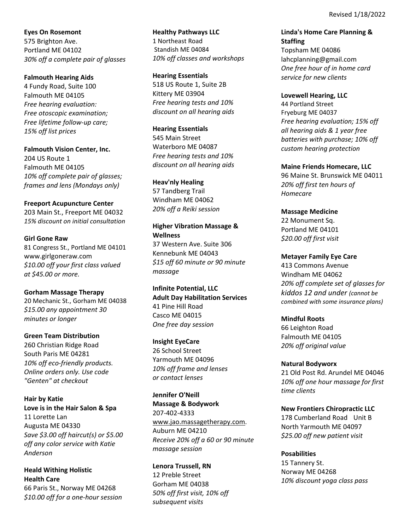**Eyes On Rosemont** 575 Brighton Ave. Portland ME 04102 *30% off a complete pair of glasses*

**Falmouth Hearing Aids**  4 Fundy Road, Suite 100

Falmouth ME 04105 *Free hearing evaluation: Free otoscopic examination; Free lifetime follow‐up care; 15% off list prices*

**Falmouth Vision Center, Inc.** 204 US Route 1 Falmouth ME 04105 *10% off complete pair of glasses; frames and lens (Mondays only)*

### **Freeport Acupuncture Center**

203 Main St., Freeport ME 04032 *15% discount on initial consultation*

### **Girl Gone Raw**

81 Congress St., Portland ME 04101 www.girlgoneraw.com *\$10.00 off your first class valued at \$45.00 or more.*

### **Gorham Massage Therapy**

20 Mechanic St., Gorham ME 04038 *\$15.00 any appointment 30 minutes or longer*

### **Green Team Distribution**

260 Christian Ridge Road South Paris ME 04281 *10% off eco‐friendly products. Online orders only. Use code "Genten" at checkout*

**Hair by Katie Love is in the Hair Salon & Spa** 11 Lorette Lan Augusta ME 04330 *Save \$3.00 off haircut(s) or \$5.00 off any color service with Katie Anderson* 

**Heald Withing Holistic Health Care** 66 Paris St., Norway ME 04268 *\$10.00 off for a one‐hour session* **Healthy Pathways LLC** 1 Northeast Road Standish ME 04084 *10% off classes and workshops*

**Hearing Essentials** 518 US Route 1, Suite 2B Kittery ME 03904 *Free hearing tests and 10% discount on all hearing aids* 

**Hearing Essentials** 545 Main Street Waterboro ME 04087 *Free hearing tests and 10% discount on all hearing aids*

### **Heav'nly Healing**

57 Tandberg Trail Windham ME 04062 *20% off a Reiki session*

## **Higher Vibration Massage & Wellness**

37 Western Ave. Suite 306 Kennebunk ME 04043 *\$15 off 60 minute or 90 minute massage*

**Infinite Potential, LLC Adult Day Habilitation Services** 41 Pine Hill Road Casco ME 04015 *One free day session*

### **Insight EyeCare**

26 School Street Yarmouth ME 04096 *10% off frame and lenses or contact lenses*

**Jennifer O'Neill Massage & Bodywork** 207‐402‐4333 www.jao.massagetherapy.com. Auburn ME 04210

*Receive 20% off a 60 or 90 minute massage session*

## **Lenora Trussell, RN**

12 Preble Street Gorham ME 04038 *50% off first visit, 10% off subsequent visits*

**Linda's Home Care Planning & Staffing**  Topsham ME 04086 lahcplanning@gmail.com *One free hour of in home card service for new clients* 

**Lovewell Hearing, LLC**

44 Portland Street Fryeburg ME 04037 *Free hearing evaluation; 15% off all hearing aids & 1 year free batteries with purchase; 10% off custom hearing protection*

**Maine Friends Homecare, LLC**

96 Maine St. Brunswick ME 04011 *20% off first ten hours of Homecare*

**Massage Medicine**

22 Monument Sq. Portland ME 04101 *\$20.00 off first visit*

**Metayer Family Eye Care**

413 Commons Avenue Windham ME 04062 *20% off complete set of glasses for kiddos 12 and under (cannot be combined with some insurance plans)*

**Mindful Roots** 

66 Leighton Road Falmouth ME 04105 *20% off original value*

**Natural Bodyworx**

21 Old Post Rd. Arundel ME 04046 *10% off one hour massage for first time clients*

**New Frontiers Chiropractic LLC**

178 Cumberland Road Unit B North Yarmouth ME 04097 *\$25.00 off new patient visit*

## **Posabilities**

15 Tannery St. Norway ME 04268 *10% discount yoga class pass*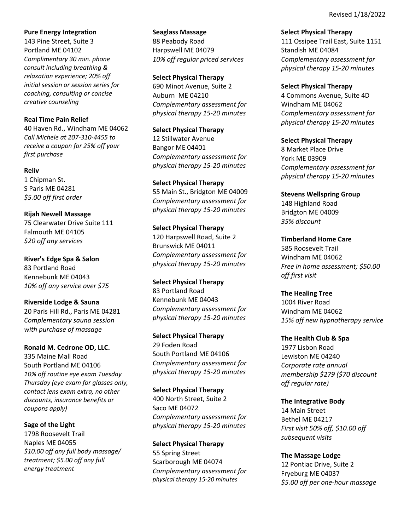Revised 1/18/2022

### **Pure Energy Integration**

143 Pine Street, Suite 3 Portland ME 04102 *Complimentary 30 min. phone consult including breathing & relaxation experience; 20% off initial session or session series for coaching, consulting or concise creative counseling*

## **Real Time Pain Relief**

40 Haven Rd., Windham ME 04062 *Call Michele at 207‐310‐4455 to receive a coupon for 25% off your first purchase*

### **Reliv**

1 Chipman St. S Paris ME 04281 *\$5.00 off first order*

**Rijah Newell Massage** 75 Clearwater Drive Suite 111 Falmouth ME 04105 *\$20 off any services*

**River's Edge Spa & Salon** 83 Portland Road Kennebunk ME 04043 *10% off any service over \$75*

**Riverside Lodge & Sauna** 20 Paris Hill Rd., Paris ME 04281 *Complementary sauna session with purchase of massage*

**Ronald M. Cedrone OD, LLC.** 335 Maine Mall Road South Portland ME 04106 *10% off routine eye exam Tuesday Thursday (eye exam for glasses only, contact lens exam extra, no other discounts, insurance benefits or coupons apply)*

**Sage of the Light** 1798 Roosevelt Trail Naples ME 04055 *\$10.00 off any full body massage/ treatment; \$5.00 off any full energy treatment*

**Seaglass Massage** 88 Peabody Road Harpswell ME 04079 *10% off regular priced services*

**Select Physical Therapy** 690 Minot Avenue, Suite 2 Auburn ME 04210 *Complementary assessment for physical therapy 15‐20 minutes*

**Select Physical Therapy**  12 Stillwater Avenue Bangor ME 04401 *Complementary assessment for physical therapy 15‐20 minutes*

**Select Physical Therapy**  55 Main St., Bridgton ME 04009 *Complementary assessment for physical therapy 15‐20 minutes*

**Select Physical Therapy**  120 Harpswell Road, Suite 2 Brunswick ME 04011 *Complementary assessment for physical therapy 15‐20 minutes*

**Select Physical Therapy** 83 Portland Road Kennebunk ME 04043 *Complementary assessment for physical therapy 15‐20 minutes*

**Select Physical Therapy** 29 Foden Road South Portland ME 04106 *Complementary assessment for physical therapy 15‐20 minutes*

**Select Physical Therapy** 400 North Street, Suite 2 Saco ME 04072 *Complementary assessment for physical therapy 15‐20 minutes*

**Select Physical Therapy** 55 Spring Street Scarborough ME 04074 *Complementary assessment for physical therapy 15‐20 minutes*

**Select Physical Therapy** 111 Ossipee Trail East, Suite 1151 Standish ME 04084 *Complementary assessment for physical therapy 15‐20 minutes*

**Select Physical Therapy**

4 Commons Avenue, Suite 4D Windham ME 04062 *Complementary assessment for physical therapy 15‐20 minutes*

**Select Physical Therapy** 8 Market Place Drive York ME 03909 *Complementary assessment for physical therapy 15‐20 minutes*

**Stevens Wellspring Group** 148 Highland Road Bridgton ME 04009 *35% discount*

**Timberland Home Care** 585 Roosevelt Trail Windham ME 04062 *Free in home assessment; \$50.00 off first visit*

**The Healing Tree**  1004 River Road Windham ME 04062 *15% off new hypnotherapy service*

**The Health Club & Spa** 1977 Lisbon Road Lewiston ME 04240 *Corporate rate annual membership \$279 (\$70 discount off regular rate)*

**The Integrative Body** 14 Main Street Bethel ME 04217 *First visit 50% off, \$10.00 off subsequent visits*

**The Massage Lodge** 12 Pontiac Drive, Suite 2 Fryeburg ME 04037 *\$5.00 off per one‐hour massage*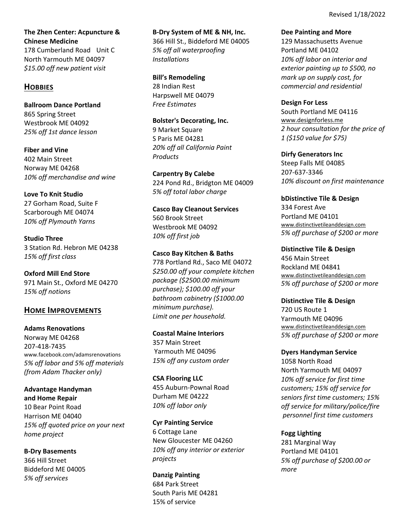**The Zhen Center: Acpuncture & Chinese Medicine** 

178 Cumberland Road Unit C North Yarmouth ME 04097 *\$15.00 off new patient visit*

## **HOBBIES**

**Ballroom Dance Portland** 865 Spring Street Westbrook ME 04092 *25% off 1st dance lesson*

**Fiber and Vine** 402 Main Street Norway ME 04268 *10% off merchandise and wine* 

**Love To Knit Studio** 27 Gorham Road, Suite F Scarborough ME 04074 *10% off Plymouth Yarns*

**Studio Three** 3 Station Rd. Hebron ME 04238 *15% off first class*

**Oxford Mill End Store** 971 Main St., Oxford ME 04270 *15% off notions*

## **HOME IMPROVEMENTS**

**Adams Renovations** Norway ME 04268 207‐418‐7435 www.facebook.com/adamsrenovations *5% off labor and 5% off materials (from Adam Thacker only)*

**Advantage Handyman and Home Repair** 10 Bear Point Road Harrison ME 04040 *15% off quoted price on your next home project*

**B‐Dry Basements** 366 Hill Street Biddeford ME 04005 *5% off services*

**B‐Dry System of ME & NH, Inc.** 366 Hill St., Biddeford ME 04005 *5% off all waterproofing Installations*

**Bill's Remodeling** 28 Indian Rest Harpswell ME 04079 *Free Estimates*

**Bolster's Decorating, Inc.** 9 Market Square S Paris ME 04281 *20% off all California Paint Products*

**Carpentry By Calebe** 224 Pond Rd., Bridgton ME 04009 *5% off total labor charge*

**Casco Bay Cleanout Services** 560 Brook Street Westbrook ME 04092 *10% off first job*

**Casco Bay Kitchen & Baths** 778 Portland Rd., Saco ME 04072 *\$250.00 off your complete kitchen package (\$2500.00 minimum purchase); \$100.00 off your bathroom cabinetry (\$1000.00 minimum purchase). Limit one per household.*

**Coastal Maine Interiors** 357 Main Street Yarmouth ME 04096 *15% off any custom order*

**CSA Flooring LLC** 455 Auburn‐Pownal Road Durham ME 04222 *10% off labor only*

**Cyr Painting Service**  6 Cottage Lane New Gloucester ME 04260 *10% off any interior or exterior projects*

**Danzig Painting**  684 Park Street South Paris ME 04281 15% of service

**Dee Painting and More**

129 Massachusetts Avenue Portland ME 04102 *10% off labor on interior and exterior painting up to \$500, no mark up on supply cost, for commercial and residential*

**Design For Less** South Portland ME 04116 www.designforless.me *2 hour consultation for the price of 1 (\$150 value for \$75)*

**Dirfy Generators Inc**  Steep Falls ME 04085 207‐637‐3346 *10% discount on first maintenance*

**bDistinctive Tile & Design** 334 Forest Ave Portland ME 04101 www.distinctivetileanddesign.com *5% off purchase of \$200 or more*

**Distinctive Tile & Design** 456 Main Street Rockland ME 04841 www.distinctivetileanddesign.com *5% off purchase of \$200 or more*

**Distinctive Tile & Design** 720 US Route 1 Yarmouth ME 04096 www.distinctivetileanddesign.com *5% off purchase of \$200 or more*

**Dyers Handyman Service** 1058 North Road North Yarmouth ME 04097 *10% off service for first time customers; 15% off service for seniors first time customers; 15% off service for military/police/fire personnel first time customers*

**Fogg Lighting** 281 Marginal Way Portland ME 04101 *5% off purchase of \$200.00 or more*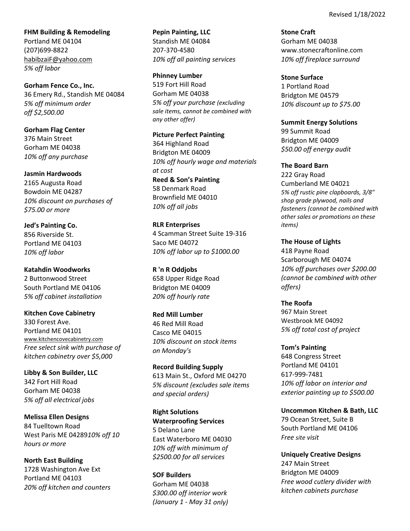**FHM Building & Remodeling** Portland ME 04104 (207)699‐8822 habibzaiF@yahoo.com *5% off labor*

**Gorham Fence Co., Inc.** 36 Emery Rd., Standish ME 04084 *5% off minimum order off \$2,500.00*

**Gorham Flag Center** 376 Main Street Gorham ME 04038 *10% off any purchase*

## **Jasmin Hardwoods**

2165 Augusta Road Bowdoin ME 04287 *10% discount on purchases of \$75.00 or more*

**Jed's Painting Co.** 856 Riverside St. Portland ME 04103 *10% off labor*

**Katahdin Woodworks** 2 Buttonwood Street South Portland ME 04106 *5% off cabinet installation*

**Kitchen Cove Cabinetry** 330 Forest Ave. Portland ME 04101 www.kitchencovecabinetry.com *Free select sink with purchase of kitchen cabinetry over \$5,000*

**Libby & Son Builder, LLC** 342 Fort Hill Road Gorham ME 04038 *5% off all electrical jobs*

**Melissa Ellen Designs** 84 Tuelltown Road West Paris ME 04289*10% off 10 hours or more*

**North East Building** 1728 Washington Ave Ext Portland ME 04103 *20% off kitchen and counters*

**Pepin Painting, LLC** Standish ME 04084 207‐370‐4580 *10% off all painting services*

**Phinney Lumber** 519 Fort Hill Road Gorham ME 04038 *5% off your purchase (excluding sale items, cannot be combined with any other offer)*

**Picture Perfect Painting**  364 Highland Road Bridgton ME 04009 *10% off hourly wage and materials at cost* **Reed & Son's Painting** 58 Denmark Road Brownfield ME 04010 *10% off all jobs*

**RLR Enterprises** 4 Scamman Street Suite 19‐316 Saco ME 04072 *10% off labor up to \$1000.00*

**R 'n R Oddjobs**  658 Upper Ridge Road Bridgton ME 04009 *20% off hourly rate*

**Red Mill Lumber** 46 Red Mill Road Casco ME 04015 *10% discount on stock items on Monday's*

**Record Building Supply** 613 Main St., Oxford ME 04270 *5% discount (excludes sale items and special orders)*

**Right Solutions Waterproofing Services**  5 Delano Lane East Waterboro ME 04030 *10% off with minimum of \$2500.00 for all services*

**SOF Builders** Gorham ME 04038 *\$300.00 off interior work (January 1 ‐ May 31 only)* **Stone Craft** Gorham ME 04038 www.stonecraftonline.com *10% off fireplace surround*

**Stone Surface** 1 Portland Road Bridgton ME 04579 *10% discount up to \$75.00*

**Summit Energy Solutions** 99 Summit Road Bridgton ME 04009 *\$50.00 off energy audit*

**The Board Barn** 222 Gray Road Cumberland ME 04021 *5% off rustic pine clapboards, 3/8" shop grade plywood, nails and fasteners (cannot be combined with other sales or promotions on these items)*

**The House of Lights** 418 Payne Road Scarborough ME 04074 *10% off purchases over \$200.00 (cannot be combined with other offers)* 

**The Roofa** 967 Main Street Westbrook ME 04092 *5% off total cost of project*

**Tom's Painting** 648 Congress Street Portland ME 04101 617‐999‐7481 *10% off labor on interior and exterior painting up to \$500.00*

**Uncommon Kitchen & Bath, LLC** 79 Ocean Street, Suite B South Portland ME 04106 *Free site visit*

**Uniquely Creative Designs** 247 Main Street Bridgton ME 04009 *Free wood cutlery divider with kitchen cabinets purchase*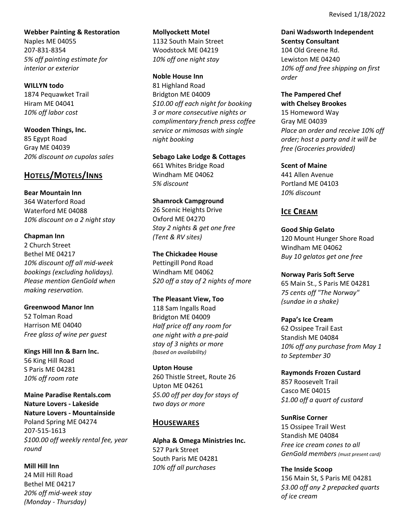**Webber Painting & Restoration** Naples ME 04055 207‐831‐8354 *5% off painting estimate for interior or exterior*

**WILLYN todo** 1874 Pequawket Trail Hiram ME 04041 *10% off labor cost*

**Wooden Things, Inc.** 85 Egypt Road Gray ME 04039 *20% discount on cupolas sales*

# **HOTELS/MOTELS/INNS**

**Bear Mountain Inn** 364 Waterford Road Waterford ME 04088 *10% discount on a 2 night stay*

**Chapman Inn** 2 Church Street Bethel ME 04217 *10% discount off all mid‐week bookings (excluding holidays). Please mention GenGold when making reservation.* 

**Greenwood Manor Inn** 52 Tolman Road Harrison ME 04040 *Free glass of wine per guest*

**Kings Hill Inn & Barn Inc.** 56 King Hill Road S Paris ME 04281 *10% off room rate*

**Maine Paradise Rentals.com Nature Lovers ‐ Lakeside Nature Lovers ‐ Mountainside** Poland Spring ME 04274 207‐515‐1613 *\$100.00 off weekly rental fee, year round*

**Mill Hill Inn** 24 Mill Hill Road Bethel ME 04217 *20% off mid‐week stay (Monday ‐ Thursday)*

**Mollyockett Motel** 1132 South Main Street Woodstock ME 04219 *10% off one night stay*

**Noble House Inn** 81 Highland Road Bridgton ME 04009 *\$10.00 off each night for booking 3 or more consecutive nights or complimentary french press coffee service or mimosas with single night booking*

**Sebago Lake Lodge & Cottages** 661 Whites Bridge Road Windham ME 04062 *5% discount*

**Shamrock Campground** 26 Scenic Heights Drive Oxford ME 04270 *Stay 2 nights & get one free (Tent & RV sites)* 

**The Chickadee House**  Pettingill Pond Road Windham ME 04062 *\$20 off a stay of 2 nights of more*

**The Pleasant View, Too** 118 Sam Ingalls Road Bridgton ME 04009 *Half price off any room for one night with a pre‐paid stay of 3 nights or more (based on availability)*

**Upton House** 260 Thistle Street, Route 26 Upton ME 04261 *\$5.00 off per day for stays of two days or more*

## **HOUSEWARES**

**Alpha & Omega Ministries Inc.** 527 Park Street South Paris ME 04281 *10% off all purchases*

**Dani Wadsworth Independent Scentsy Consultant** 104 Old Greene Rd. Lewiston ME 04240 *10% off and free shipping on first order*

**The Pampered Chef with Chelsey Brookes** 15 Homeword Way Gray ME 04039 *Place an order and receive 10% off order; host a party and it will be free (Groceries provided)*

**Scent of Maine** 441 Allen Avenue Portland ME 04103 *10% discount*

## **ICE CREAM**

**Good Ship Gelato**  120 Mount Hunger Shore Road Windham ME 04062 *Buy 10 gelatos get one free* 

**Norway Paris Soft Serve** 65 Main St., S Paris ME 04281 *75 cents off "The Norway" (sundae in a shake)*

**Papa's Ice Cream** 62 Ossipee Trail East Standish ME 04084 *10% off any purchase from May 1 to September 30*

**Raymonds Frozen Custard** 857 Roosevelt Trail Casco ME 04015 *\$1.00 off a quart of custard*

**SunRise Corner** 15 Ossipee Trail West Standish ME 04084 *Free ice cream cones to all GenGold members (must present card)*

**The Inside Scoop** 156 Main St, S Paris ME 04281 *\$3.00 off any 2 prepacked quarts of ice cream*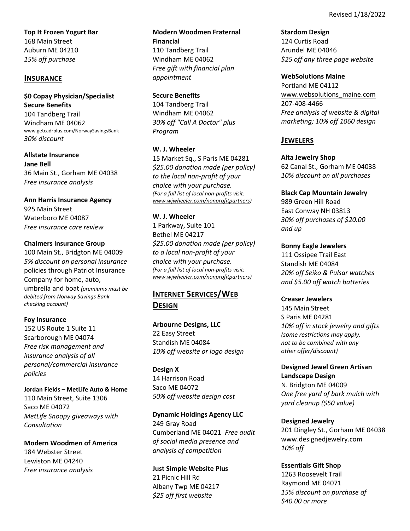**Top It Frozen Yogurt Bar**  168 Main Street Auburn ME 04210 *15% off purchase*

## **INSURANCE**

**\$0 Copay Physician/Specialist Secure Benefits**  104 Tandberg Trail Windham ME 04062 www.getcadrplus.com/NorwaySavingsBank *30% discount*

**Allstate Insurance Jane Bell** 36 Main St., Gorham ME 04038 *Free insurance analysis*

**Ann Harris Insurance Agency** 925 Main Street Waterboro ME 04087 *Free insurance care review*

### **Chalmers Insurance Group**

100 Main St., Bridgton ME 04009 *5% discount on personal insurance* policies through Patriot Insurance Company for home, auto, umbrella and boat *(premiums must be debited from Norway Savings Bank checking account)*

### **Foy Insurance**

152 US Route 1 Suite 11 Scarborough ME 04074 *Free risk management and insurance analysis of all personal/commercial insurance policies*

**Jordan Fields – MetLife Auto & Home** 110 Main Street, Suite 1306 Saco ME 04072 *MetLife Snoopy giveaways with Consultation*

**Modern Woodmen of America** 184 Webster Street Lewiston ME 04240 *Free insurance analysis*

**Modern Woodmen Fraternal Financial** 110 Tandberg Trail Windham ME 04062 *Free gift with financial plan appointment* 

### **Secure Benefits**

104 Tandberg Trail Windham ME 04062 *30% off "Call A Doctor" plus Program*

### **W. J. Wheeler**

15 Market Sq., S Paris ME 04281 *\$25.00 donation made (per policy) to the local non‐profit of your choice with your purchase. (For a full list of local non‐profits visit: www.wjwheeler.com/nonprofitpartners)*

### **W. J. Wheeler**

1 Parkway, Suite 101 Bethel ME 04217 *\$25.00 donation made (per policy) to a local non‐profit of your choice with your purchase. (For a full list of local non‐profits visit: www.wjwheeler.com/nonprofitpartners)*

# **INTERNET SERVICES/WEB DESIGN**

**Arbourne Designs, LLC** 22 Easy Street Standish ME 04084 *10% off website or logo design*

**Design X** 14 Harrison Road Saco ME 04072 *50% off website design cost*

### **Dynamic Holdings Agency LLC**

249 Gray Road Cumberland ME 04021 *Free audit of social media presence and analysis of competition*

### **Just Simple Website Plus**

21 Picnic Hill Rd Albany Twp ME 04217 *\$25 off first website*

**Stardom Design** 124 Curtis Road Arundel ME 04046 *\$25 off any three page website*

#### **WebSolutions Maine**

Portland ME 04112 www.websolutions\_maine.com 207‐408‐4466 *Free analysis of website & digital marketing; 10% off 1060 design*

## **JEWELERS**

**Alta Jewelry Shop** 

62 Canal St., Gorham ME 04038 *10% discount on all purchases*

**Black Cap Mountain Jewelry**

989 Green Hill Road East Conway NH 03813 *30% off purchases of \$20.00 and up*

**Bonny Eagle Jewelers** 111 Ossipee Trail East Standish ME 04084 *20% off Seiko & Pulsar watches*

*and \$5.00 off watch batteries*

## **Creaser Jewelers**

145 Main Street S Paris ME 04281 *10% off in stock jewelry and gifts (some restrictions may apply, not to be combined with any other offer/discount)*

**Designed Jewel Green Artisan Landscape Design** N. Bridgton ME 04009

*One free yard of bark mulch with yard cleanup (\$50 value)*

### **Designed Jewelry**

201 Dingley St., Gorham ME 04038 www.designedjewelry.com *10% off*

## **Essentials Gift Shop**

1263 Roosevelt Trail Raymond ME 04071 *15% discount on purchase of \$40.00 or more*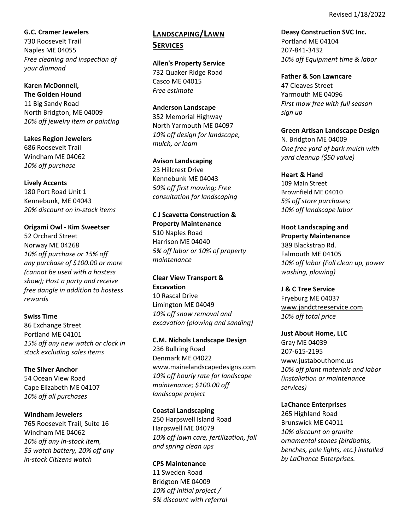### **G.C. Cramer Jewelers**

730 Roosevelt Trail Naples ME 04055 *Free cleaning and inspection of your diamond*

# **Karen McDonnell,**

**The Golden Hound** 11 Big Sandy Road North Bridgton, ME 04009 *10% off jewelry item or painting*

## **Lakes Region Jewelers** 686 Roosevelt Trail Windham ME 04062 *10% off purchase*

## **Lively Accents**

180 Port Road Unit 1 Kennebunk, ME 04043 *20% discount on in‐stock items*

## **Origami Owl ‐ Kim Sweetser**

52 Orchard Street Norway ME 04268 *10% off purchase or 15% off any purchase of \$100.00 or more (cannot be used with a hostess show); Host a party and receive free dangle in addition to hostess rewards*

## **Swiss Time**

86 Exchange Street Portland ME 04101 *15% off any new watch or clock in stock excluding sales items*

## **The Silver Anchor**

54 Ocean View Road Cape Elizabeth ME 04107 *10% off all purchases*

## **Windham Jewelers**

765 Roosevelt Trail, Suite 16 Windham ME 04062 *10% off any in‐stock item, \$5 watch battery, 20% off any in‐stock Citizens watch*

# **LANDSCAPING/LAWN SERVICES**

**Allen's Property Service** 732 Quaker Ridge Road Casco ME 04015 *Free estimate* 

### **Anderson Landscape**

352 Memorial Highway North Yarmouth ME 04097 *10% off design for landscape, mulch, or loam*

### **Avison Landscaping**

23 Hillcrest Drive Kennebunk ME 04043 *50% off first mowing; Free consultation for landscaping*

## **C J Scavetta Construction & Property Maintenance**

510 Naples Road Harrison ME 04040 *5% off labor or 10% of property maintenance*

## **Clear View Transport & Excavation** 10 Rascal Drive Limington ME 04049 *10% off snow removal and*

*excavation (plowing and sanding)*

## **C.M. Nichols Landscape Design** 236 Bullring Road Denmark ME 04022 www.mainelandscapedesigns.com *10% off hourly rate for landscape maintenance; \$100.00 off landscape project*

## **Coastal Landscaping** 250 Harpswell Island Road Harpswell ME 04079 *10% off lawn care, fertilization, fall and spring clean ups*

#### **CPS Maintenance** 11 Sweden Road

Bridgton ME 04009 *10% off initial project / 5% discount with referral* **Deasy Construction SVC Inc.** Portland ME 04104 207‐841‐3432 *10% off Equipment time & labor* 

## **Father & Son Lawncare** 47 Cleaves Street Yarmouth ME 04096 *First mow free with full season sign up*

## **Green Artisan Landscape Design**

N. Bridgton ME 04009 *One free yard of bark mulch with yard cleanup (\$50 value)*

## **Heart & Hand**

109 Main Street Brownfield ME 04010 *5% off store purchases; 10% off landscape labor*

**Hoot Landscaping and Property Maintenance** 389 Blackstrap Rd. Falmouth ME 04105 *10% off labor (Fall clean up, power washing, plowing)*

## **J & C Tree Service**

Fryeburg ME 04037 www.jandctreeservice.com *10% off total price*

# **Just About Home, LLC**

Gray ME 04039 207‐615‐2195 www.justabouthome.us *10% off plant materials and labor (installation or maintenance services)*

## **LaChance Enterprises**

265 Highland Road Brunswick ME 04011 *10% discount on granite ornamental stones (birdbaths, benches, pole lights, etc.) installed by LaChance Enterprises.*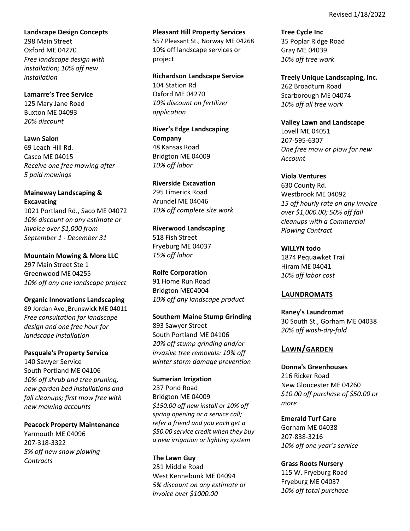**Landscape Design Concepts**

298 Main Street Oxford ME 04270 *Free landscape design with installation; 10% off new installation*

**Lamarre's Tree Service** 125 Mary Jane Road Buxton ME 04093 *20% discount* 

**Lawn Salon** 69 Leach Hill Rd. Casco ME 04015 *Receive one free mowing after 5 paid mowings*

## **Maineway Landscaping & Excavating**

1021 Portland Rd., Saco ME 04072 *10% discount on any estimate or invoice over \$1,000 from September 1 ‐ December 31*

**Mountain Mowing & More LLC** 297 Main Street Ste 1 Greenwood ME 04255

*10% off any one landscape project* **Organic Innovations Landscaping**

89 Jordan Ave.,Brunswick ME 04011 *Free consultation for landscape design and one free hour for landscape installation*

**Pasquale's Property Service** 140 Sawyer Service South Portland ME 04106 *10% off shrub and tree pruning, new garden bed installations and fall cleanups; first mow free with new mowing accounts*

**Peacock Property Maintenance**  Yarmouth ME 04096 207‐318‐3322 *5% off new snow plowing Contracts*

**Pleasant Hill Property Services** 557 Pleasant St., Norway ME 04268 10% off landscape services or project

**Richardson Landscape Service** 104 Station Rd Oxford ME 04270 *10% discount on fertilizer application*

**River's Edge Landscaping Company** 48 Kansas Road Bridgton ME 04009 *10% off labor*

**Riverside Excavation** 295 Limerick Road Arundel ME 04046 *10% off complete site work*

**Riverwood Landscaping** 518 Fish Street Fryeburg ME 04037 *15% off labor*

**Rolfe Corporation** 91 Home Run Road Bridgton ME04004 *10% off any landscape product*

**Southern Maine Stump Grinding** 893 Sawyer Street South Portland ME 04106 *20% off stump grinding and/or invasive tree removals: 10% off winter storm damage prevention*

## **Sumerian Irrigation**

237 Pond Road Bridgton ME 04009 *\$150.00 off new install or 10% off spring opening or a service call; refer a friend and you each get a \$50.00 service credit when they buy a new irrigation or lighting system*

**The Lawn Guy** 251 Middle Road West Kennebunk ME 04094 *5% discount on any estimate or invoice over \$1000.00*

**Tree Cycle Inc** 35 Poplar Ridge Road Gray ME 04039 *10% off tree work*

**Treely Unique Landscaping, Inc.** 262 Broadturn Road Scarborough ME 04074 *10% off all tree work*

**Valley Lawn and Landscape**  Lovell ME 04051 207‐595‐6307 *One free mow or plow for new Account*

**Viola Ventures** 630 County Rd. Westbrook ME 04092 *15 off hourly rate on any invoice over \$1,000.00; 50% off fall cleanups with a Commercial Plowing Contract*

**WILLYN todo** 1874 Pequawket Trail Hiram ME 04041 *10% off labor cost*

## **LAUNDROMATS**

**Raney's Laundromat**  30 South St., Gorham ME 04038 *20% off wash‐dry‐fold*

# **LAWN/GARDEN**

**Donna's Greenhouses** 216 Ricker Road New Gloucester ME 04260 *\$10.00 off purchase of \$50.00 or more*

**Emerald Turf Care** Gorham ME 04038 207‐838‐3216 *10% off one year's service*

**Grass Roots Nursery** 115 W. Fryeburg Road Fryeburg ME 04037 *10% off total purchase*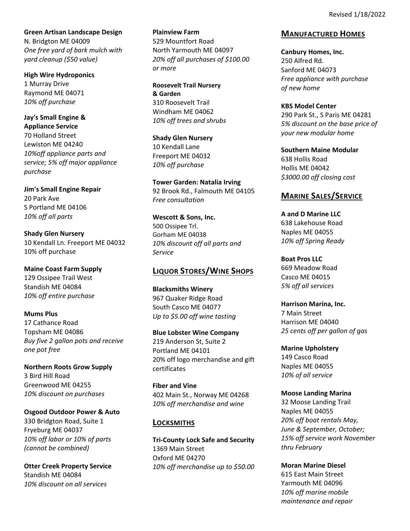**Green Artisan Landscape Design** N. Bridgton ME 04009 *One free yard of bark mulch with yard cleanup (\$50 value)*

**High Wire Hydroponics** 1 Murray Drive Raymond ME 04071 *10% off purchase*

**Jay's Small Engine & Appliance Service**  70 Holland Street Lewiston ME 04240 *10%off appliance parts and service; 5% off major appliance purchase*

**Jim's Small Engine Repair** 20 Park Ave S Portland ME 04106 *10% off all parts*

**Shady Glen Nursery** 10 Kendall Ln. Freeport ME 04032 10% off purchase

**Maine Coast Farm Supply** 129 Ossipee Trail West Standish ME 04084 *10% off entire purchase*

**Mums Plus** 17 Cathance Road Topsham ME 04086 *Buy five 2 gallon pots and receive one pot free*

**Northern Roots Grow Supply**  3 Bird Hill Road Greenwood ME 04255 *10% discount on purchases*

**Osgood Outdoor Power & Auto** 330 Bridgton Road, Suite 1 Fryeburg ME 04037 *10% off labor or 10% of parts (cannot be combined)*

**Otter Creek Property Service** Standish ME 04084 *10% discount on all services*

**Plainview Farm** 529 Mountfort Road North Yarmouth ME 04097 *20% off all purchases of \$100.00 or more*

**Roosevelt Trail Nursery & Garden** 310 Roosevelt Trail Windham ME 04062 *10% off trees and shrubs*

**Shady Glen Nursery** 10 Kendall Lane Freeport ME 04032 *10% off purchase*

**Tower Garden: Natalia Irving** 92 Brook Rd., Falmouth ME 04105 *Free consultation*

**Wescott & Sons, Inc.** 500 Ossipee Trl. Gorham ME 04038 *10% discount off all parts and Service*

# **LIQUOR STORES/WINE SHOPS**

**Blacksmiths Winery**  967 Quaker Ridge Road South Casco ME 04077 *Up to \$5.00 off wine tasting*

**Blue Lobster Wine Company** 219 Anderson St, Suite 2 Portland ME 04101 20% off logo merchandise and gift certificates

**Fiber and Vine** 402 Main St., Norway ME 04268 *10% off merchandise and wine*

# **LOCKSMITHS**

**Tri‐County Lock Safe and Security** 1369 Main Street Oxford ME 04270 *10% off merchandise up to \$50.00*

# **MANUFACTURED HOMES**

**Canbury Homes, Inc.** 250 Alfred Rd. Sanford ME 04073 *Free appliance with purchase of new home*

**KBS Model Center** 290 Park St., S Paris ME 04281 *5% discount on the base price of your new modular home*

**Southern Maine Modular** 638 Hollis Road Hollis ME 04042 *\$3000.00 off closing cost*

# **MARINE SALES/SERVICE**

**A and D Marine LLC**  638 Lakehouse Road Naples ME 04055 *10% off Spring Ready*

**Boat Pros LLC** 669 Meadow Road Casco ME 04015 *5% off all services*

**Harrison Marina, Inc.** 7 Main Street Harrison ME 04040 *25 cents off per gallon of gas*

**Marine Upholstery** 149 Casco Road Naples ME 04055 *10% of all service*

## **Moose Landing Marina**

32 Moose Landing Trail Naples ME 04055 *20% off boat rentals May, June & September, October; 15% off service work November thru February*

## **Moran Marine Diesel**

615 East Main Street Yarmouth ME 04096 *10% off marine mobile maintenance and repair*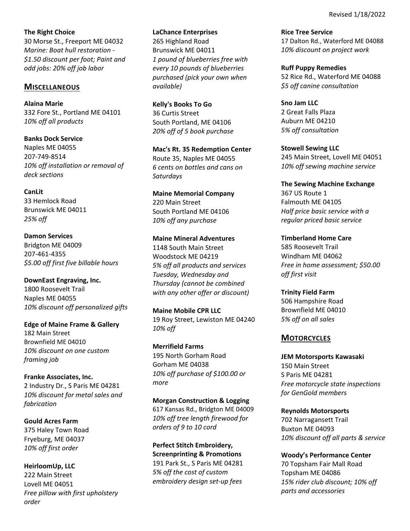**The Right Choice** 30 Morse St., Freeport ME 04032 *Marine: Boat hull restoration ‐ \$1.50 discount per foot; Paint and odd jobs: 20% off job labor*

### **MISCELLANEOUS**

**Alaina Marie**  332 Fore St., Portland ME 04101 *10% off all products*

**Banks Dock Service** Naples ME 04055 207‐749‐8514 *10% off installation or removal of deck sections*

**CanLit** 33 Hemlock Road

Brunswick ME 04011 *25% off*

**Damon Services** Bridgton ME 04009 207‐461‐4355 *\$5.00 off first five billable hours*

**DownEast Engraving, Inc.** 1800 Roosevelt Trail Naples ME 04055 *10% discount off personalized gifts*

**Edge of Maine Frame & Gallery** 182 Main Street Brownfield ME 04010 *10% discount on one custom framing job*

**Franke Associates, Inc.** 2 Industry Dr., S Paris ME 04281 *10% discount for metal sales and fabrication*

**Gould Acres Farm** 375 Haley Town Road Fryeburg, ME 04037 *10% off first order*

**HeirloomUp, LLC** 222 Main Street Lovell ME 04051 *Free pillow with first upholstery order*

**LaChance Enterprises**

265 Highland Road Brunswick ME 04011 *1 pound of blueberries free with every 10 pounds of blueberries purchased (pick your own when available)*

**Kelly's Books To Go** 36 Curtis Street South Portland, ME 04106 *20% off of 5 book purchase*

**Mac's Rt. 35 Redemption Center** Route 35, Naples ME 04055 *6 cents on bottles and cans on Saturdays*

**Maine Memorial Company** 220 Main Street South Portland ME 04106 *10% off any purchase* 

### **Maine Mineral Adventures**

1148 South Main Street Woodstock ME 04219 *5% off all products and services Tuesday, Wednesday and Thursday (cannot be combined with any other offer or discount)*

**Maine Mobile CPR LLC** 19 Roy Street, Lewiston ME 04240 *10% off*

**Merrifield Farms** 195 North Gorham Road Gorham ME 04038 *10% off purchase of \$100.00 or more*

**Morgan Construction & Logging** 617 Kansas Rd., Bridgton ME 04009 *10% off tree length firewood for orders of 9 to 10 cord*

**Perfect Stitch Embroidery, Screenprinting & Promotions** 191 Park St., S Paris ME 04281 *5% off the cost of custom embroidery design set‐up fees*

**Rice Tree Service** 17 Dalton Rd., Waterford ME 04088 *10% discount on project work*

**Ruff Puppy Remedies** 52 Rice Rd., Waterford ME 04088 *\$5 off canine consultation*

**Sno Jam LLC** 2 Great Falls Plaza Auburn ME 04210 *5% off consultation*

**Stowell Sewing LLC** 245 Main Street, Lovell ME 04051 *10% off sewing machine service*

**The Sewing Machine Exchange**  367 US Route 1 Falmouth ME 04105 *Half price basic service with a regular priced basic service*

**Timberland Home Care** 585 Roosevelt Trail Windham ME 04062 *Free in home assessment; \$50.00 off first visit*

**Trinity Field Farm** 506 Hampshire Road Brownfield ME 04010 *5% off on all sales*

## **MOTORCYCLES**

**JEM Motorsports Kawasaki** 150 Main Street S Paris ME 04281 *Free motorcycle state inspections for GenGold members*

**Reynolds Motorsports**  702 Narragansett Trail Buxton ME 04093 *10% discount off all parts & service*

**Woody's Performance Center** 70 Topsham Fair Mall Road Topsham ME 04086 *15% rider club discount; 10% off parts and accessories*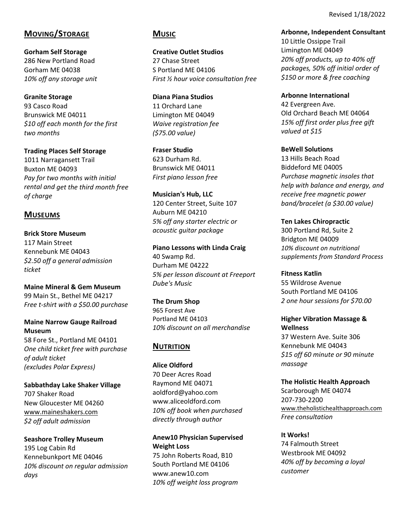Revised 1/18/2022

# **MOVING/STORAGE**

**Gorham Self Storage** 286 New Portland Road Gorham ME 04038 *10% off any storage unit*

**Granite Storage** 93 Casco Road Brunswick ME 04011 *\$10 off each month for the first two months*

**Trading Places Self Storage** 1011 Narragansett Trail Buxton ME 04093 *Pay for two months with initial rental and get the third month free of charge*

## **MUSEUMS**

**Brick Store Museum** 117 Main Street Kennebunk ME 04043 *\$2.50 off a general admission ticket*

**Maine Mineral & Gem Museum** 99 Main St., Bethel ME 04217 *Free t‐shirt with a \$50.00 purchase*

## **Maine Narrow Gauge Railroad Museum**

58 Fore St., Portland ME 04101 *One child ticket free with purchase of adult ticket (excludes Polar Express)*

**Sabbathday Lake Shaker Village** 707 Shaker Road New Gloucester ME 04260 www.maineshakers.com *\$2 off adult admission* 

**Seashore Trolley Museum** 195 Log Cabin Rd Kennebunkport ME 04046 *10% discount on regular admission days*

## **MUSIC**

**Creative Outlet Studios** 27 Chase Street S Portland ME 04106 *First ½ hour voice consultation free*

**Diana Piana Studios**  11 Orchard Lane Limington ME 04049 *Waive registration fee (\$75.00 value)*

**Fraser Studio** 623 Durham Rd. Brunswick ME 04011 *First piano lesson free*

**Musician's Hub, LLC**  120 Center Street, Suite 107 Auburn ME 04210 *5% off any starter electric or acoustic guitar package*

**Piano Lessons with Linda Craig**  40 Swamp Rd. Durham ME 04222 *5% per lesson discount at Freeport Dube's Music*

**The Drum Shop** 965 Forest Ave Portland ME 04103 *10% discount on all merchandise*

# **NUTRITION**

**Alice Oldford** 70 Deer Acres Road Raymond ME 04071 aoldford@yahoo.com www.aliceoldford.com *10% off book when purchased directly through author* 

**Anew10 Physician Supervised Weight Loss**

75 John Roberts Road, B10 South Portland ME 04106 www.anew10.com *10% off weight loss program* **Arbonne, Independent Consultant** 10 Little Ossippe Trail Limington ME 04049 *20% off products, up to 40% off packages, 50% off initial order of \$150 or more & free coaching*

**Arbonne International**  42 Evergreen Ave. Old Orchard Beach ME 04064 *15% off first order plus free gift valued at \$15*

**BeWell Solutions** 13 Hills Beach Road Biddeford ME 04005 *Purchase magnetic insoles that help with balance and energy, and receive free magnetic power band/bracelet (a \$30.00 value)*

**Ten Lakes Chiropractic**  300 Portland Rd, Suite 2 Bridgton ME 04009 *10% discount on nutritional supplements from Standard Process* 

**Fitness Katlin** 55 Wildrose Avenue South Portland ME 04106 *2 one hour sessions for \$70.00* 

**Higher Vibration Massage & Wellness** 37 Western Ave. Suite 306 Kennebunk ME 04043 *\$15 off 60 minute or 90 minute massage*

**The Holistic Health Approach**  Scarborough ME 04074 207‐730‐2200 www.theholistichealthapproach.com *Free consultation*

**It Works!** 74 Falmouth Street Westbrook ME 04092 *40% off by becoming a loyal customer*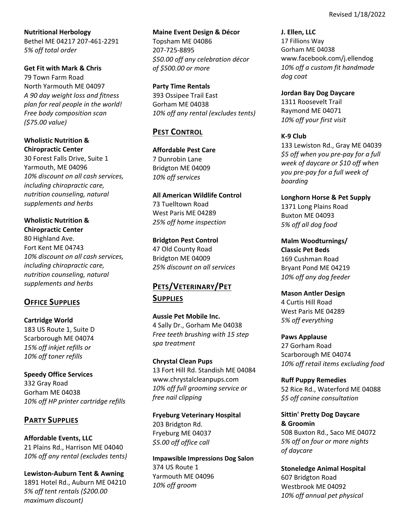**Nutritional Herbology** Bethel ME 04217 207‐461‐2291 *5% off total order*

**Get Fit with Mark & Chris** 79 Town Farm Road North Yarmouth ME 04097 *A 90 day weight loss and fitness plan for real people in the world! Free body composition scan (\$75.00 value)*

## **Wholistic Nutrition & Chiropractic Center**

30 Forest Falls Drive, Suite 1 Yarmouth, ME 04096 *10% discount on all cash services, including chiropractic care, nutrition counseling, natural supplements and herbs*

**Wholistic Nutrition & Chiropractic Center**  80 Highland Ave. Fort Kent ME 04743 *10% discount on all cash services, including chiropractic care, nutrition counseling, natural supplements and herbs*

# **OFFICE SUPPLIES**

**Cartridge World** 183 US Route 1, Suite D Scarborough ME 04074 *15% off inkjet refills or 10% off toner refills*

**Speedy Office Services** 332 Gray Road Gorham ME 04038 *10% off HP printer cartridge refills*

# **PARTY SUPPLIES**

**Affordable Events, LLC** 21 Plains Rd., Harrison ME 04040 *10% off any rental (excludes tents)*

**Lewiston‐Auburn Tent & Awning** 1891 Hotel Rd., Auburn ME 04210 *5% off tent rentals (\$200.00 maximum discount)*

**Maine Event Design & Décor**

Topsham ME 04086 207‐725‐8895 *\$50.00 off any celebration décor of \$500.00 or more*

**Party Time Rentals** 393 Ossipee Trail East Gorham ME 04038 *10% off any rental (excludes tents)*

# **PEST CONTROL**

**Affordable Pest Care**  7 Dunrobin Lane Bridgton ME 04009 *10% off services*

**All American Wildlife Control** 73 Tuelltown Road West Paris ME 04289 *25% off home inspection*

**Bridgton Pest Control**  47 Old County Road Bridgton ME 04009 *25% discount on all services*

# **PETS/VETERINARY/PET SUPPLIES**

**Aussie Pet Mobile Inc.** 4 Sally Dr., Gorham Me 04038 *Free teeth brushing with 15 step spa treatment*

**Chrystal Clean Pups** 13 Fort Hill Rd. Standish ME 04084 www.chrystalcleanpups.com *10% off full grooming service or free nail clipping*

**Fryeburg Veterinary Hospital**  203 Bridgton Rd. Fryeburg ME 04037 *\$5.00 off office call*

**Impawsible Impressions Dog Salon** 374 US Route 1 Yarmouth ME 04096 *10% off groom*

**J. Ellen, LLC** 17 Fillions Way Gorham ME 04038 www.facebook.com/j.ellendog *10% off a custom fit handmade dog coat*

**Jordan Bay Dog Daycare**  1311 Roosevelt Trail Raymond ME 04071 *10% off your first visit*

**K‐9 Club**

133 Lewiston Rd., Gray ME 04039 *\$5 off when you pre‐pay for a full week of daycare or \$10 off when you pre‐pay for a full week of boarding*

**Longhorn Horse & Pet Supply** 1371 Long Plains Road Buxton ME 04093 *5% off all dog food*

**Malm Woodturnings/ Classic Pet Beds** 169 Cushman Road Bryant Pond ME 04219 *10% off any dog feeder*

**Mason Antler Design** 4 Curtis Hill Road West Paris ME 04289 *5% off everything*

**Paws Applause** 27 Gorham Road Scarborough ME 04074 *10% off retail items excluding food*

**Ruff Puppy Remedies** 52 Rice Rd., Waterford ME 04088 *\$5 off canine consultation*

**Sittin' Pretty Dog Daycare & Groomin** 508 Buxton Rd., Saco ME 04072 *5% off on four or more nights of daycare*

**Stoneledge Animal Hospital** 607 Bridgton Road Westbrook ME 04092 *10% off annual pet physical*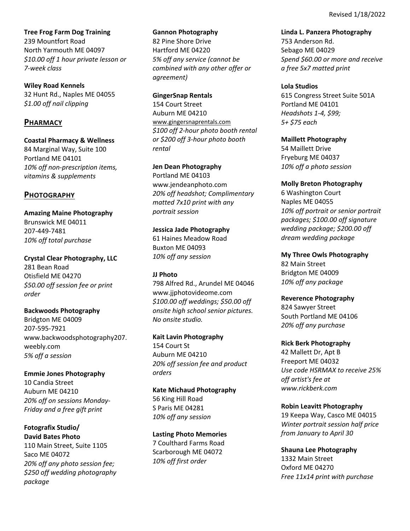**Tree Frog Farm Dog Training** 239 Mountfort Road North Yarmouth ME 04097 *\$10.00 off 1 hour private lesson or 7‐week class*

**Wiley Road Kennels** 32 Hunt Rd., Naples ME 04055 *\$1.00 off nail clipping*

## **PHARMACY**

**Coastal Pharmacy & Wellness** 84 Marginal Way, Suite 100 Portland ME 04101 *10% off non‐prescription items, vitamins & supplements*

## **PHOTOGRAPHY**

**Amazing Maine Photography** Brunswick ME 04011 207‐449‐7481 *10% off total purchase*

**Crystal Clear Photography, LLC**  281 Bean Road Otisfield ME 04270 *\$50.00 off session fee or print order*

**Backwoods Photography** Bridgton ME 04009 207‐595‐7921 www.backwoodsphotography207. weebly.com *5% off a session*

**Emmie Jones Photography** 10 Candia Street Auburn ME 04210 *20% off on sessions Monday‐ Friday and a free gift print*

**Fotografix Studio/ David Bates Photo** 110 Main Street, Suite 1105 Saco ME 04072 *20% off any photo session fee; \$250 off wedding photography package*

#### **Gannon Photography**

82 Pine Shore Drive Hartford ME 04220 *5% off any service (cannot be combined with any other offer or agreement)*

**GingerSnap Rentals**

154 Court Street Auburn ME 04210 www.gingersnaprentals.com *\$100 off 2‐hour photo booth rental or \$200 off 3‐hour photo booth rental*

#### **Jen Dean Photography**

Portland ME 04103 www.jendeanphoto.com *20% off headshot; Complimentary matted 7x10 print with any portrait session*

**Jessica Jade Photography**

61 Haines Meadow Road Buxton ME 04093 *10% off any session*

### **JJ Photo**

798 Alfred Rd., Arundel ME 04046 www.jjphotovideome.com *\$100.00 off weddings; \$50.00 off onsite high school senior pictures. No onsite studio.*

**Kait Lavin Photography** 154 Court St Auburn ME 04210 *20% off session fee and product orders* 

**Kate Michaud Photography** 56 King Hill Road S Paris ME 04281 *10% off any session*

**Lasting Photo Memories** 7 Coulthard Farms Road Scarborough ME 04072 *10% off first order*

**Linda L. Panzera Photography**

753 Anderson Rd. Sebago ME 04029 *Spend \$60.00 or more and receive a free 5x7 matted print*

#### **Lola Studios**

615 Congress Street Suite 501A Portland ME 04101 *Headshots 1‐4, \$99; 5+ \$75 each*

### **Maillett Photography**

54 Maillett Drive Fryeburg ME 04037 *10% off a photo session*

### **Molly Breton Photography**

6 Washington Court Naples ME 04055 *10% off portrait or senior portrait packages; \$100.00 off signature wedding package; \$200.00 off dream wedding package*

### **My Three Owls Photography**

82 Main Street Bridgton ME 04009 *10% off any package*

## **Reverence Photography**

824 Sawyer Street South Portland ME 04106 *20% off any purchase*

## **Rick Berk Photography**

42 Mallett Dr, Apt B Freeport ME 04032 *Use code HSRMAX to receive 25% off artist's fee at www.rickberk.com*

## **Robin Leavitt Photography**

19 Keepa Way, Casco ME 04015 *Winter portrait session half price from January to April 30*

**Shauna Lee Photography**  1332 Main Street Oxford ME 04270 *Free 11x14 print with purchase*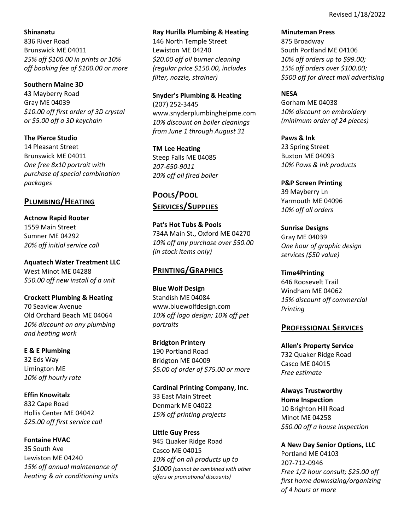### **Shinanatu**

836 River Road Brunswick ME 04011 *25% off \$100.00 in prints or 10% off booking fee of \$100.00 or more*

### **Southern Maine 3D**

43 Mayberry Road Gray ME 04039 *\$10.00 off first order of 3D crystal or \$5.00 off a 3D keychain*

**The Pierce Studio** 14 Pleasant Street Brunswick ME 04011 *One free 8x10 portrait with purchase of special combination packages*

## **PLUMBING/HEATING**

**Actnow Rapid Rooter** 1559 Main Street Sumner ME 04292 *20% off initial service call*

**Aquatech Water Treatment LLC** West Minot ME 04288 *\$50.00 off new install of a unit* 

**Crockett Plumbing & Heating**  70 Seaview Avenue Old Orchard Beach ME 04064 *10% discount on any plumbing and heating work* 

**E & E Plumbing** 32 Eds Way Limington ME *10% off hourly rate* 

**Effin Knowitalz** 832 Cape Road Hollis Center ME 04042 *\$25.00 off first service call* 

**Fontaine HVAC** 35 South Ave Lewiston ME 04240 *15% off annual maintenance of heating & air conditioning units*

### **Ray Hurilla Plumbing & Heating**

146 North Temple Street Lewiston ME 04240 *\$20.00 off oil burner cleaning (regular price \$150.00, includes filter, nozzle, strainer)*

**Snyder's Plumbing & Heating** (207) 252‐3445 www.snyderplumbinghelpme.com *10% discount on boiler cleanings from June 1 through August 31*

**TM Lee Heating** Steep Falls ME 04085 *207‐650‐9011 20% off oil fired boiler*

# **POOLS/POOL SERVICES/SUPPLIES**

**Pat's Hot Tubs & Pools**  734A Main St., Oxford ME 04270 *10% off any purchase over \$50.00 (in stock items only)*

# **PRINTING/GRAPHICS**

**Blue Wolf Design**  Standish ME 04084 www.bluewolfdesign.com *10% off logo design; 10% off pet portraits*

**Bridgton Printery** 190 Portland Road Bridgton ME 04009 *\$5.00 of order of \$75.00 or more*

**Cardinal Printing Company, Inc.** 33 East Main Street Denmark ME 04022 *15% off printing projects*

**Little Guy Press**  945 Quaker Ridge Road Casco ME 04015 *10% off on all products up to \$1000 (cannot be combined with other offers or promotional discounts)*

**Minuteman Press**

875 Broadway South Portland ME 04106 *10% off orders up to \$99.00; 15% off orders over \$100.00; \$500 off for direct mail advertising*

### **NESA**

Gorham ME 04038 *10% discount on embroidery (minimum order of 24 pieces)*

**Paws & Ink** 23 Spring Street Buxton ME 04093 *10% Paws & Ink products*

**P&P Screen Printing**  39 Mayberry Ln Yarmouth ME 04096 *10% off all orders*

**Sunrise Designs** Gray ME 04039 *One hour of graphic design services (\$50 value)*

**Time4Printing** 646 Roosevelt Trail Windham ME 04062 *15% discount off commercial Printing*

## **PROFESSIONAL SERVICES**

**Allen's Property Service** 732 Quaker Ridge Road Casco ME 04015 *Free estimate*

**Always Trustworthy Home Inspection** 10 Brighton Hill Road Minot ME 04258 *\$50.00 off a house inspection* 

**A New Day Senior Options, LLC** Portland ME 04103 207‐712‐0946 *Free 1/2 hour consult; \$25.00 off first home downsizing/organizing of 4 hours or more*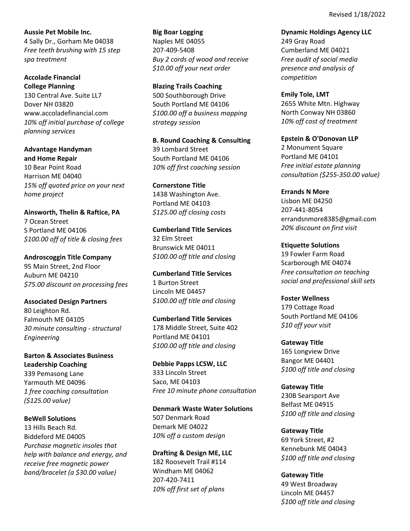**Aussie Pet Mobile Inc.** 4 Sally Dr., Gorham Me 04038 *Free teeth brushing with 15 step spa treatment*

**Accolade Financial College Planning** 130 Central Ave. Suite LL7 Dover NH 03820 www.accoladefinancial.com *10% off initial purchase of college planning services*

**Advantage Handyman and Home Repair** 10 Bear Point Road Harrison ME 04040 *15% off quoted price on your next home project*

**Ainsworth, Thelin & Raftice, PA** 7 Ocean Street S Portland ME 04106 *\$100.00 off of title & closing fees*

**Androscoggin Title Company**  95 Main Street, 2nd Floor Auburn ME 04210 *\$75.00 discount on processing fees*

**Associated Design Partners**  80 Leighton Rd. Falmouth ME 04105 *30 minute consulting ‐ structural Engineering*

**Barton & Associates Business Leadership Coaching**  339 Pemasong Lane Yarmouth ME 04096 *1 free coaching consultation (\$125.00 value)*

**BeWell Solutions** 13 Hills Beach Rd. Biddeford ME 04005 *Purchase magnetic insoles that help with balance and energy, and receive free magnetic power band/bracelet (a \$30.00 value)*

**Big Boar Logging** Naples ME 04055 207‐409‐5408 *Buy 2 cords of wood and receive \$10.00 off your next order*

**Blazing Trails Coaching** 500 Southborough Drive South Portland ME 04106 *\$100.00 off a business mapping strategy session*

**B. Round Coaching & Consulting** 39 Lombard Street South Portland ME 04106 *10% off first coaching session*

**Cornerstone Title**  1438 Washington Ave. Portland ME 04103 *\$125.00 off closing costs*

**Cumberland Title Services** 32 Elm Street Brunswick ME 04011 *\$100.00 off title and closing*

**Cumberland Title Services**  1 Burton Street Lincoln ME 04457 *\$100.00 off title and closing*

**Cumberland Title Services** 178 Middle Street, Suite 402 Portland ME 04101 *\$100.00 off title and closing*

**Debbie Papps LCSW, LLC** 333 Lincoln Street Saco, ME 04103 *Free 10 minute phone consultation*

**Denmark Waste Water Solutions** 507 Denmark Road Demark ME 04022 *10% off a custom design*

**Drafting & Design ME, LLC** 182 Roosevelt Trail #114 Windham ME 04062 207‐420‐7411 *10% off first set of plans*

**Dynamic Holdings Agency LLC** 249 Gray Road Cumberland ME 04021 *Free audit of social media presence and analysis of competition*

**Emily Tole, LMT** 2655 White Mtn. Highway North Conway NH 03860 *10% off cost of treatment*

**Epstein & O'Donovan LLP** 2 Monument Square Portland ME 04101 *Free initial estate planning consultation (\$255‐350.00 value)*

**Errands N More**  Lisbon ME 04250 207‐441‐8054 errandsnmore8385@gmail.com *20% discount on first visit*

**Etiquette Solutions**  19 Fowler Farm Road Scarborough ME 04074 *Free consultation on teaching social and professional skill sets*

**Foster Wellness** 179 Cottage Road South Portland ME 04106 *\$10 off your visit*

**Gateway Title** 165 Longview Drive Bangor ME 04401 *\$100 off title and closing*

**Gateway Title** 230B Searsport Ave Belfast ME 04915 *\$100 off title and closing* 

**Gateway Title** 69 York Street, #2 Kennebunk ME 04043 *\$100 off title and closing* 

**Gateway Title** 49 West Broadway Lincoln ME 04457 *\$100 off title and closing*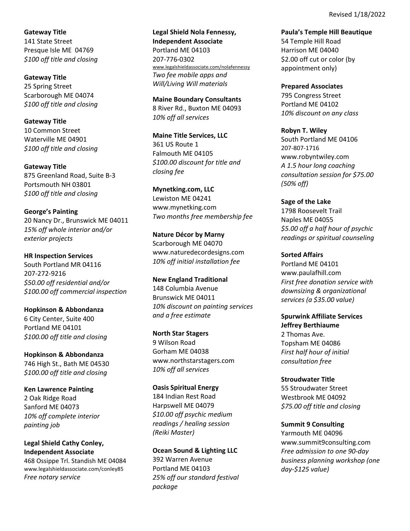**Gateway Title** 141 State Street Presque Isle ME 04769 *\$100 off title and closing* 

**Gateway Title** 25 Spring Street Scarborough ME 04074 *\$100 off title and closing* 

**Gateway Title** 10 Common Street Waterville ME 04901 *\$100 off title and closing* 

**Gateway Title** 875 Greenland Road, Suite B‐3 Portsmouth NH 03801 *\$100 off title and closing*

**George's Painting** 20 Nancy Dr., Brunswick ME 04011 *15% off whole interior and/or exterior projects*

**HR Inspection Services** South Portland MR 04116 207‐272‐9216 *\$50.00 off residential and/or \$100.00 off commercial inspection* 

**Hopkinson & Abbondanza** 6 City Center, Suite 400 Portland ME 04101 *\$100.00 off title and closing*

**Hopkinson & Abbondanza** 746 High St., Bath ME 04530 *\$100.00 off title and closing*

**Ken Lawrence Painting**  2 Oak Ridge Road Sanford ME 04073 *10% off complete interior painting job*

**Legal Shield Cathy Conley, Independent Associate** 468 Ossippe Trl. Standish ME 04084 www.legalshieldassociate.com/conley85 *Free notary service*

**Legal Shield Nola Fennessy, Independent Associate**  Portland ME 04103 207‐776‐0302 www.legalshieldassociate.com/nolafennessy *Two fee mobile apps and Will/Living Will materials*

**Maine Boundary Consultants** 8 River Rd., Buxton ME 04093 *10% off all services*

**Maine Title Services, LLC**  361 US Route 1 Falmouth ME 04105 *\$100.00 discount for title and closing fee*

**Mynetking.com, LLC** Lewiston ME 04241 www.mynetking.com *Two months free membership fee*

**Nature Décor by Marny**  Scarborough ME 04070 www.naturedecordesigns.com *10% off initial installation fee*

**New England Traditional** 148 Columbia Avenue Brunswick ME 04011 *10% discount on painting services and a free estimate*

**North Star Stagers** 9 Wilson Road Gorham ME 04038 www.northstarstagers.com *10% off all services*

**Oasis Spiritual Energy** 184 Indian Rest Road Harpswell ME 04079 *\$10.00 off psychic medium readings / healing session (Reiki Master)*

**Ocean Sound & Lighting LLC**  392 Warren Avenue Portland ME 04103 *25% off our standard festival package*

**Paula's Temple Hill Beautique** 54 Temple Hill Road Harrison ME 04040 \$2.00 off cut or color (by appointment only)

**Prepared Associates**  795 Congress Street Portland ME 04102 *10% discount on any class*

**Robyn T. Wiley** South Portland ME 04106 207‐807‐1716 www.robyntwiley.com *A 1.5 hour long coaching consultation session for \$75.00 (50% off)*

**Sage of the Lake**  1798 Roosevelt Trail Naples ME 04055 *\$5.00 off a half hour of psychic readings or spiritual counseling*

**Sorted Affairs** Portland ME 04101 www.paulafhill.com *First free donation service with downsizing & organizational services (a \$35.00 value)*

**Spurwink Affiliate Services Jeffrey Berthiaume** 

2 Thomas Ave. Topsham ME 04086 *First half hour of initial consultation free*

**Stroudwater Title** 55 Stroudwater Street Westbrook ME 04092 *\$75.00 off title and closing*

**Summit 9 Consulting** Yarmouth ME 04096 www.summit9consulting.com *Free admission to one 90‐day business planning workshop (one day‐\$125 value)*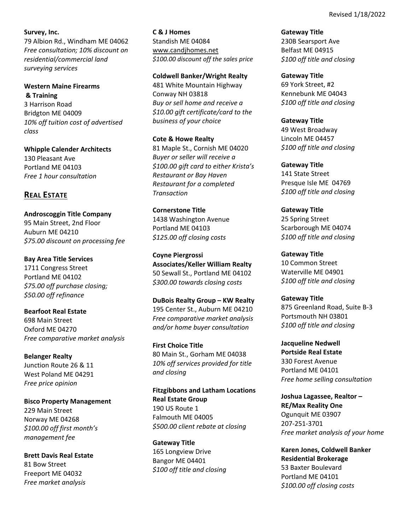### **Survey, Inc.**

79 Albion Rd., Windham ME 04062 *Free consultation; 10% discount on residential/commercial land surveying services*

**Western Maine Firearms & Training** 3 Harrison Road Bridgton ME 04009 *10% off tuition cost of advertised class*

**Whipple Calender Architects** 130 Pleasant Ave Portland ME 04103 *Free 1 hour consultation*

# **REAL ESTATE**

**Androscoggin Title Company**  95 Main Street, 2nd Floor Auburn ME 04210 *\$75.00 discount on processing fee*

**Bay Area Title Services** 1711 Congress Street Portland ME 04102 *\$75.00 off purchase closing; \$50.00 off refinance*

**Bearfoot Real Estate** 698 Main Street Oxford ME 04270 *Free comparative market analysis*

**Belanger Realty** Junction Route 26 & 11 West Poland ME 04291 *Free price opinion*

**Bisco Property Management**  229 Main Street Norway ME 04268 *\$100.00 off first month's management fee*

**Brett Davis Real Estate** 81 Bow Street Freeport ME 04032 *Free market analysis*

**C & J Homes** Standish ME 04084 www.candjhomes.net *\$100.00 discount off the sales price*

**Coldwell Banker/Wright Realty** 481 White Mountain Highway Conway NH 03818 *Buy or sell home and receive a \$10.00 gift certificate/card to the business of your choice*

**Cote & Howe Realty**  81 Maple St., Cornish ME 04020 *Buyer or seller will receive a \$100.00 gift card to either Krista's Restaurant or Bay Haven Restaurant for a completed Transaction*

**Cornerstone Title** 1438 Washington Avenue Portland ME 04103 *\$125.00 off closing costs*

**Coyne Piergrossi Associates/Keller William Realty** 50 Sewall St., Portland ME 04102 *\$300.00 towards closing costs*

**DuBois Realty Group – KW Realty** 195 Center St., Auburn ME 04210 *Free comparative market analysis and/or home buyer consultation*

**First Choice Title** 80 Main St., Gorham ME 04038 *10% off services provided for title and closing*

**Fitzgibbons and Latham Locations Real Estate Group** 190 US Route 1 Falmouth ME 04005 *\$500.00 client rebate at closing*

**Gateway Title** 165 Longview Drive Bangor ME 04401 *\$100 off title and closing*  **Gateway Title** 230B Searsport Ave Belfast ME 04915 *\$100 off title and closing* 

**Gateway Title** 69 York Street, #2 Kennebunk ME 04043 *\$100 off title and closing* 

**Gateway Title** 49 West Broadway Lincoln ME 04457 *\$100 off title and closing* 

**Gateway Title** 141 State Street Presque Isle ME 04769 *\$100 off title and closing* 

**Gateway Title** 25 Spring Street Scarborough ME 04074 *\$100 off title and closing* 

**Gateway Title** 10 Common Street Waterville ME 04901 *\$100 off title and closing* 

**Gateway Title** 875 Greenland Road, Suite B‐3 Portsmouth NH 03801 *\$100 off title and closing* 

**Jacqueline Nedwell Portside Real Estate** 330 Forest Avenue Portland ME 04101 *Free home selling consultation*

**Joshua Lagassee, Realtor – RE/Max Reality One** Ogunquit ME 03907 207‐251‐3701 *Free market analysis of your home*

**Karen Jones, Coldwell Banker Residential Brokerage** 53 Baxter Boulevard Portland ME 04101 *\$100.00 off closing costs*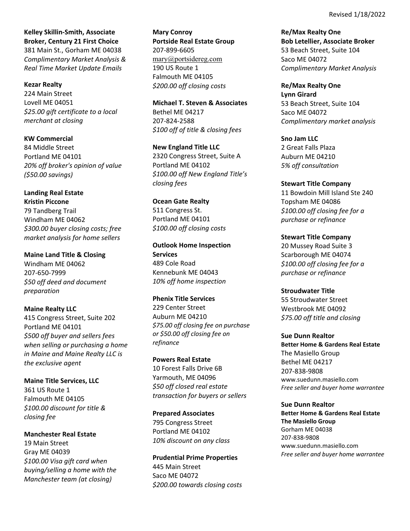**Kelley Skillin‐Smith, Associate Broker, Century 21 First Choice** 381 Main St., Gorham ME 04038 *Complimentary Market Analysis & Real Time Market Update Emails*

#### **Kezar Realty**

224 Main Street Lovell ME 04051 *\$25.00 gift certificate to a local merchant at closing*

**KW Commercial**  84 Middle Street Portland ME 04101 *20% off broker's opinion of value (\$50.00 savings)*

**Landing Real Estate Kristin Piccone** 79 Tandberg Trail Windham ME 04062 *\$300.00 buyer closing costs; free market analysis for home sellers*

**Maine Land Title & Closing** Windham ME 04062 207‐650‐7999 *\$50 off deed and document preparation*

**Maine Realty LLC**  415 Congress Street, Suite 202 Portland ME 04101 *\$500 off buyer and sellers fees when selling or purchasing a home in Maine and Maine Realty LLC is the exclusive agent*

**Maine Title Services, LLC**  361 US Route 1 Falmouth ME 04105 *\$100.00 discount for title & closing fee*

**Manchester Real Estate** 19 Main Street Gray ME 04039 *\$100.00 Visa gift card when buying/selling a home with the Manchester team (at closing)*

**Mary Conroy Portside Real Estate Group** 207‐899‐6605 mary@portsidereg.com 190 US Route 1 Falmouth ME 04105 *\$200.00 off closing costs*

**Michael T. Steven & Associates** Bethel ME 04217 207‐824‐2588 *\$100 off of title & closing fees*

**New England Title LLC**  2320 Congress Street, Suite A Portland ME 04102 *\$100.00 off New England Title's closing fees*

**Ocean Gate Realty** 511 Congress St. Portland ME 04101 *\$100.00 off closing costs*

**Outlook Home Inspection Services** 489 Cole Road Kennebunk ME 04043 *10% off home inspection*

**Phenix Title Services** 229 Center Street Auburn ME 04210 *\$75.00 off closing fee on purchase or \$50.00 off closing fee on refinance*

**Powers Real Estate** 10 Forest Falls Drive 6B Yarmouth, ME 04096 *\$50 off closed real estate transaction for buyers or sellers*

**Prepared Associates** 795 Congress Street Portland ME 04102 *10% discount on any class*

**Prudential Prime Properties** 445 Main Street Saco ME 04072 *\$200.00 towards closing costs* **Re/Max Realty One Bob Letellier, Associate Broker** 53 Beach Street, Suite 104 Saco ME 04072 *Complimentary Market Analysis*

**Re/Max Realty One Lynn Girard** 53 Beach Street, Suite 104 Saco ME 04072 *Complimentary market analysis* 

**Sno Jam LLC** 2 Great Falls Plaza Auburn ME 04210 *5% off consultation*

**Stewart Title Company** 11 Bowdoin Mill Island Ste 240 Topsham ME 04086 *\$100.00 off closing fee for a purchase or refinance*

**Stewart Title Company** 20 Mussey Road Suite 3 Scarborough ME 04074 *\$100.00 off closing fee for a purchase or refinance*

**Stroudwater Title** 55 Stroudwater Street Westbrook ME 04092 *\$75.00 off title and closing*

**Sue Dunn Realtor Better Home & Gardens Real Estate** The Masiello Group Bethel ME 04217 207‐838‐9808 www.suedunn.masiello.com *Free seller and buyer home warrantee*

**Sue Dunn Realtor Better Home & Gardens Real Estate The Masiello Group**  Gorham ME 04038 207‐838‐9808 www.suedunn.masiello.com *Free seller and buyer home warrantee*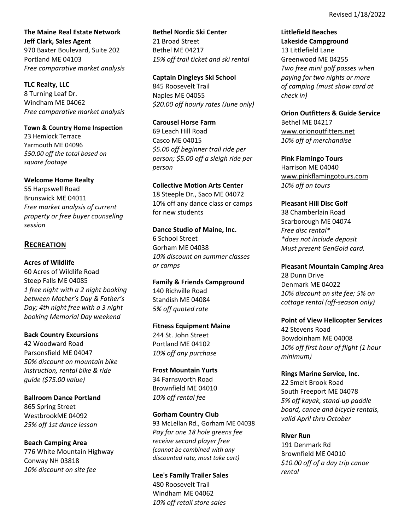**The Maine Real Estate Network Jeff Clark, Sales Agent** 970 Baxter Boulevard, Suite 202 Portland ME 04103 *Free comparative market analysis*

**TLC Realty, LLC**  8 Turning Leaf Dr. Windham ME 04062 *Free comparative market analysis*

**Town & Country Home Inspection** 23 Hemlock Terrace Yarmouth ME 04096 *\$50.00 off the total based on square footage*

### **Welcome Home Realty**

55 Harpswell Road Brunswick ME 04011 *Free market analysis of current property or free buyer counseling session*

## **RECREATION**

### **Acres of Wildlife**

60 Acres of Wildlife Road Steep Falls ME 04085 *1 free night with a 2 night booking between Mother's Day & Father's Day; 4th night free with a 3 night booking Memorial Day weekend*

### **Back Country Excursions**

42 Woodward Road Parsonsfield ME 04047 *50% discount on mountain bike instruction, rental bike & ride guide (\$75.00 value)*

**Ballroom Dance Portland** 865 Spring Street WestbrookME 04092 *25% off 1st dance lesson*

**Beach Camping Area** 776 White Mountain Highway Conway NH 03818 *10% discount on site fee*

**Bethel Nordic Ski Center** 21 Broad Street Bethel ME 04217 *15% off trail ticket and ski rental*

**Captain Dingleys Ski School** 845 Roosevelt Trail Naples ME 04055 *\$20.00 off hourly rates (June only)*

**Carousel Horse Farm** 69 Leach Hill Road Casco ME 04015 *\$5.00 off beginner trail ride per person; \$5.00 off a sleigh ride per person*

### **Collective Motion Arts Center**

18 Steeple Dr., Saco ME 04072 10% off any dance class or camps for new students

**Dance Studio of Maine, Inc.**

6 School Street Gorham ME 04038 *10% discount on summer classes or camps*

**Family & Friends Campground** 140 Richville Road Standish ME 04084 *5% off quoted rate*

### **Fitness Equipment Maine**

244 St. John Street Portland ME 04102 *10% off any purchase*

**Frost Mountain Yurts** 34 Farnsworth Road Brownfield ME 04010 *10% off rental fee*

#### **Gorham Country Club**

93 McLellan Rd., Gorham ME 04038 *Pay for one 18 hole greens fee receive second player free (cannot be combined with any discounted rate, must take cart)*

**Lee's Family Trailer Sales** 480 Roosevelt Trail Windham ME 04062 *10% off retail store sales*

**Littlefield Beaches Lakeside Campground**  13 Littlefield Lane Greenwood ME 04255 *Two free mini golf passes when paying for two nights or more of camping (must show card at check in)*

**Orion Outfitters & Guide Service**

Bethel ME 04217 www.orionoutfitters.net *10% off of merchandise*

**Pink Flamingo Tours**

Harrison ME 04040 www.pinkflamingotours.com *10% off on tours*

### **Pleasant Hill Disc Golf**

38 Chamberlain Road Scarborough ME 04074 *Free disc rental\* \*does not include deposit Must present GenGold card.*

**Pleasant Mountain Camping Area** 28 Dunn Drive Denmark ME 04022 *10% discount on site fee; 5% on cottage rental (off‐season only)*

**Point of View Helicopter Services** 42 Stevens Road Bowdoinham ME 04008 *10% off first hour of flight (1 hour minimum)*

**Rings Marine Service, Inc.** 22 Smelt Brook Road South Freeport ME 04078 *5% off kayak, stand‐up paddle board, canoe and bicycle rentals, valid April thru October* 

### **River Run**

191 Denmark Rd Brownfield ME 04010 *\$10.00 off of a day trip canoe rental*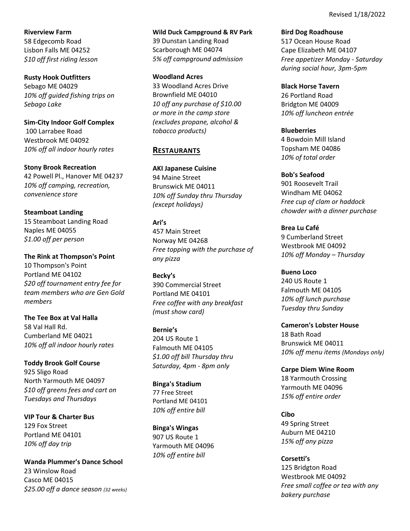**Riverview Farm** 58 Edgecomb Road Lisbon Falls ME 04252 *\$10 off first riding lesson*

**Rusty Hook Outfitters** Sebago ME 04029 *10% off guided fishing trips on Sebago Lake*

**Sim‐City Indoor Golf Complex** 100 Larrabee Road Westbrook ME 04092 *10% off all indoor hourly rates* 

**Stony Brook Recreation** 42 Powell Pl., Hanover ME 04237 *10% off camping, recreation, convenience store*

**Steamboat Landing**  15 Steamboat Landing Road Naples ME 04055 *\$1.00 off per person*

**The Rink at Thompson's Point** 10 Thompson's Point Portland ME 04102 *\$20 off tournament entry fee for team members who are Gen Gold members*

**The Tee Box at Val Halla** 58 Val Hall Rd. Cumberland ME 04021 *10% off all indoor hourly rates*

**Toddy Brook Golf Course** 925 Sligo Road North Yarmouth ME 04097 *\$10 off greens fees and cart on Tuesdays and Thursdays*

**VIP Tour & Charter Bus** 129 Fox Street Portland ME 04101 *10% off day trip*

**Wanda Plummer's Dance School** 23 Winslow Road Casco ME 04015 *\$25.00 off a dance season (32 weeks)*

**Wild Duck Campground & RV Park** 39 Dunstan Landing Road Scarborough ME 04074 *5% off campground admission*

**Woodland Acres**  33 Woodland Acres Drive Brownfield ME 04010 *10 off any purchase of \$10.00 or more in the camp store (excludes propane, alcohol & tobacco products)*

## **RESTAURANTS**

**AKI Japanese Cuisine** 94 Maine Street Brunswick ME 04011 *10% off Sunday thru Thursday (except holidays)*

**Ari's** 457 Main Street Norway ME 04268 *Free topping with the purchase of any pizza*

**Becky's** 390 Commercial Street Portland ME 04101 *Free coffee with any breakfast (must show card)*

**Bernie's** 204 US Route 1 Falmouth ME 04105 *\$1.00 off bill Thursday thru Saturday, 4pm ‐ 8pm only*

**Binga's Stadium**  77 Free Street Portland ME 04101 *10% off entire bill*

**Binga's Wingas**  907 US Route 1 Yarmouth ME 04096 *10% off entire bill*

**Bird Dog Roadhouse**  517 Ocean House Road Cape Elizabeth ME 04107 *Free appetizer Monday ‐ Saturday during social hour, 3pm‐5pm* 

**Black Horse Tavern** 26 Portland Road Bridgton ME 04009 *10% off luncheon entrée*

**Blueberries**  4 Bowdoin Mill Island Topsham ME 04086 *10% of total order*

**Bob's Seafood** 901 Roosevelt Trail Windham ME 04062 *Free cup of clam or haddock chowder with a dinner purchase*

**Brea Lu Café** 9 Cumberland Street Westbrook ME 04092 *10% off Monday – Thursday*

**Bueno Loco** 240 US Route 1 Falmouth ME 04105 *10% off lunch purchase Tuesday thru Sunday*

**Cameron's Lobster House** 18 Bath Road Brunswick ME 04011 *10% off menu items (Mondays only)*

**Carpe Diem Wine Room** 18 Yarmouth Crossing Yarmouth ME 04096 *15% off entire order*

**Cibo** 49 Spring Street Auburn ME 04210 *15% off any pizza*

**Corsetti's** 125 Bridgton Road Westbrook ME 04092 *Free small coffee or tea with any bakery purchase*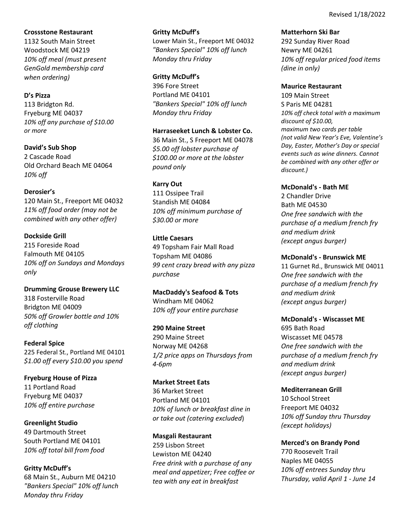### **Crossstone Restaurant**

1132 South Main Street Woodstock ME 04219 *10% off meal (must present GenGold membership card when ordering)*

## **D's Pizza**

113 Bridgton Rd. Fryeburg ME 04037 *10% off any purchase of \$10.00 or more*

**David's Sub Shop** 2 Cascade Road Old Orchard Beach ME 04064 *10% off*

## **Derosier's**

120 Main St., Freeport ME 04032 *11% off food order (may not be combined with any other offer)*

## **Dockside Grill**

215 Foreside Road Falmouth ME 04105 *10% off on Sundays and Mondays only*

**Drumming Grouse Brewery LLC** 318 Fosterville Road Bridgton ME 04009 *50% off Growler bottle and 10% off clothing*

**Federal Spice** 225 Federal St., Portland ME 04101 *\$1.00 off every \$10.00 you spend*

**Fryeburg House of Pizza** 11 Portland Road Fryeburg ME 04037 *10% off entire purchase*

**Greenlight Studio** 49 Dartmouth Street South Portland ME 04101 *10% off total bill from food*

**Gritty McDuff's** 68 Main St., Auburn ME 04210 *"Bankers Special" 10% off lunch Monday thru Friday*

### **Gritty McDuff's**

Lower Main St., Freeport ME 04032 *"Bankers Special" 10% off lunch Monday thru Friday*

## **Gritty McDuff's**

396 Fore Street Portland ME 04101 *"Bankers Special" 10% off lunch Monday thru Friday*

### **Harraseeket Lunch & Lobster Co.**

36 Main St., S Freeport ME 04078 *\$5.00 off lobster purchase of \$100.00 or more at the lobster pound only*

### **Karry Out**

111 Ossipee Trail Standish ME 04084 *10% off minimum purchase of \$30.00 or more*

### **Little Caesars**

49 Topsham Fair Mall Road Topsham ME 04086 *99 cent crazy bread with any pizza purchase*

**MacDaddy's Seafood & Tots** Windham ME 04062 *10% off your entire purchase* 

### **290 Maine Street**

290 Maine Street Norway ME 04268 *1/2 price apps on Thursdays from 4‐6pm* 

## **Market Street Eats** 36 Market Street Portland ME 04101 *10% of lunch or breakfast dine in or take out (catering excluded*)

## **Masgali Restaurant** 259 Lisbon Street Lewiston ME 04240 *Free drink with a purchase of any meal and appetizer; Free coffee or tea with any eat in breakfast*

**Matterhorn Ski Bar**

292 Sunday River Road Newry ME 04261 *10% off regular priced food items (dine in only)* 

### **Maurice Restaurant**

109 Main Street S Paris ME 04281 *10% off check total with a maximum discount of \$10.00, maximum two cards per table (not valid New Year's Eve, Valentine's Day, Easter, Mother's Day or special events such as wine dinners. Cannot be combined with any other offer or discount.)*

### **McDonald's ‐ Bath ME**

2 Chandler Drive Bath ME 04530 *One free sandwich with the purchase of a medium french fry and medium drink (except angus burger)*

### **McDonald's ‐ Brunswick ME**

11 Gurnet Rd., Brunswick ME 04011 *One free sandwich with the purchase of a medium french fry and medium drink (except angus burger)*

### **McDonald's ‐ Wiscasset ME**

695 Bath Road Wiscasset ME 04578 *One free sandwich with the purchase of a medium french fry and medium drink (except angus burger)*

## **Mediterranean Grill**

10 School Street Freeport ME 04032 *10% off Sunday thru Thursday (except holidays)*

## **Merced's on Brandy Pond**

770 Roosevelt Trail Naples ME 04055 *10% off entrees Sunday thru Thursday, valid April 1 ‐ June 14*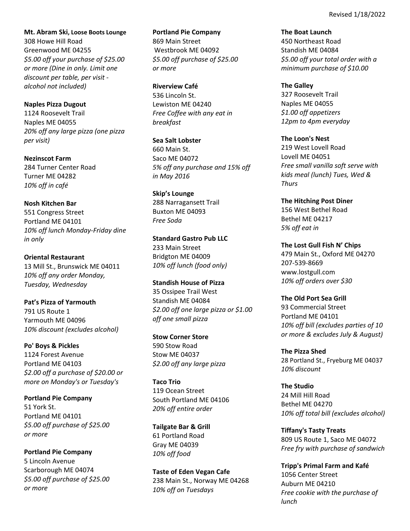**Mt. Abram Ski, Loose Boots Lounge** 308 Howe Hill Road Greenwood ME 04255 *\$5.00 off your purchase of \$25.00 or more (Dine in only. Limit one discount per table, per visit ‐ alcohol not included)*

**Naples Pizza Dugout** 1124 Roosevelt Trail Naples ME 04055 *20% off any large pizza (one pizza per visit)*

**Nezinscot Farm** 284 Turner Center Road Turner ME 04282 *10% off in café*

**Nosh Kitchen Bar** 551 Congress Street Portland ME 04101 *10% off lunch Monday‐Friday dine in only*

**Oriental Restaurant**  13 Mill St., Brunswick ME 04011 *10% off any order Monday, Tuesday, Wednesday*

**Pat's Pizza of Yarmouth** 791 US Route 1 Yarmouth ME 04096 *10% discount (excludes alcohol)*

**Po' Boys & Pickles**  1124 Forest Avenue Portland ME 04103 *\$2.00 off a purchase of \$20.00 or more on Monday's or Tuesday's*

**Portland Pie Company** 51 York St. Portland ME 04101 *\$5.00 off purchase of \$25.00 or more*

**Portland Pie Company** 5 Lincoln Avenue Scarborough ME 04074 *\$5.00 off purchase of \$25.00 or more*

**Portland Pie Company** 869 Main Street Westbrook ME 04092 *\$5.00 off purchase of \$25.00 or more*

**Riverview Café** 536 Lincoln St. Lewiston ME 04240 *Free Coffee with any eat in breakfast*

**Sea Salt Lobster** 660 Main St. Saco ME 04072 *5% off any purchase and 15% off in May 2016*

**Skip's Lounge** 288 Narragansett Trail Buxton ME 04093 *Free Soda* 

**Standard Gastro Pub LLC** 233 Main Street Bridgton ME 04009 *10% off lunch (food only)*

**Standish House of Pizza** 35 Ossipee Trail West Standish ME 04084 *\$2.00 off one large pizza or \$1.00 off one small pizza*

**Stow Corner Store** 590 Stow Road Stow ME 04037 *\$2.00 off any large pizza*

**Taco Trio** 119 Ocean Street South Portland ME 04106 *20% off entire order*

**Tailgate Bar & Grill**  61 Portland Road Gray ME 04039 *10% off food*

**Taste of Eden Vegan Cafe**  238 Main St., Norway ME 04268 *10% off on Tuesdays*

**The Boat Launch** 450 Northeast Road Standish ME 04084 *\$5.00 off your total order with a minimum purchase of \$10.00*

**The Galley**  327 Roosevelt Trail Naples ME 04055 *\$1.00 off appetizers 12pm to 4pm everyday*

**The Loon's Nest**  219 West Lovell Road Lovell ME 04051 *Free small vanilla soft serve with kids meal (lunch) Tues, Wed & Thurs*

**The Hitching Post Diner**  156 West Bethel Road Bethel ME 04217 *5% off eat in*

**The Lost Gull Fish N' Chips** 479 Main St., Oxford ME 04270 207‐539‐8669 www.lostgull.com *10% off orders over \$30*

**The Old Port Sea Grill** 93 Commercial Street Portland ME 04101 *10% off bill (excludes parties of 10 or more & excludes July & August)*

**The Pizza Shed** 28 Portland St., Fryeburg ME 04037 *10% discount*

**The Studio** 24 Mill Hill Road Bethel ME 04270 *10% off total bill (excludes alcohol)*

**Tiffany's Tasty Treats** 809 US Route 1, Saco ME 04072 *Free fry with purchase of sandwich*

**Tripp's Primal Farm and Kafé**  1056 Center Street Auburn ME 04210 *Free cookie with the purchase of lunch*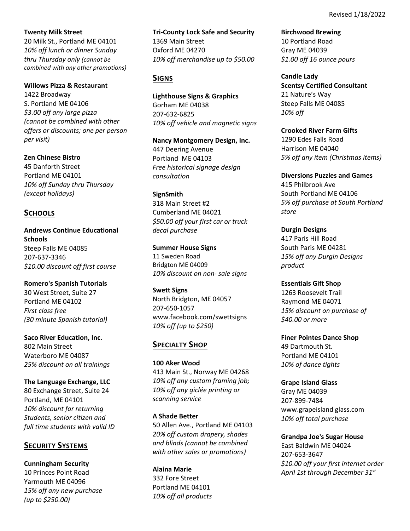**Twenty Milk Street**

20 Milk St., Portland ME 04101 *10% off lunch or dinner Sunday thru Thursday only (cannot be combined with any other promotions)*

### **Willows Pizza & Restaurant**

1422 Broadway S. Portland ME 04106 *\$3.00 off any large pizza (cannot be combined with other offers or discounts; one per person per visit)*

**Zen Chinese Bistro** 45 Danforth Street Portland ME 04101 *10% off Sunday thru Thursday (except holidays)*

## **SCHOOLS**

**Andrews Continue Educational Schools**  Steep Falls ME 04085 207‐637‐3346 *\$10.00 discount off first course*

**Romero's Spanish Tutorials** 30 West Street, Suite 27 Portland ME 04102 *First class free (30 minute Spanish tutorial)*

**Saco River Education, Inc.** 802 Main Street Waterboro ME 04087 *25% discount on all trainings*

**The Language Exchange, LLC** 80 Exchange Street, Suite 24

Portland, ME 04101 *10% discount for returning Students, senior citizen and full time students with valid ID*

# **SECURITY SYSTEMS**

**Cunningham Security**  10 Princes Point Road Yarmouth ME 04096 *15% off any new purchase (up to \$250.00)*

**Tri‐County Lock Safe and Security**

1369 Main Street Oxford ME 04270 *10% off merchandise up to \$50.00*

# **SIGNS**

**Lighthouse Signs & Graphics**  Gorham ME 04038 207‐632‐6825 *10% off vehicle and magnetic signs*

**Nancy Montgomery Design, Inc.** 447 Deering Avenue Portland ME 04103 *Free historical signage design consultation*

**SignSmith** 318 Main Street #2 Cumberland ME 04021 *\$50.00 off your first car or truck decal purchase*

**Summer House Signs** 11 Sweden Road Bridgton ME 04009 *10% discount on non‐ sale signs*

**Swett Signs** North Bridgton, ME 04057 207‐650‐1057 www.facebook.com/swettsigns *10% off (up to \$250)*

# **SPECIALTY SHOP**

**100 Aker Wood** 413 Main St., Norway ME 04268 *10% off any custom framing job; 10% off any giclée printing or scanning service*

**A Shade Better** 50 Allen Ave., Portland ME 04103 *20% off custom drapery, shades and blinds (cannot be combined with other sales or promotions)*

**Alaina Marie**  332 Fore Street Portland ME 04101 *10% off all products* **Birchwood Brewing**  10 Portland Road Gray ME 04039 *\$1.00 off 16 ounce pours*

**Candle Lady Scentsy Certified Consultant** 21 Nature's Way Steep Falls ME 04085 *10% off*

**Crooked River Farm Gifts** 1290 Edes Falls Road Harrison ME 04040 *5% off any item (Christmas items)*

**Diversions Puzzles and Games** 415 Philbrook Ave South Portland ME 04106 *5% off purchase at South Portland store*

**Durgin Designs** 417 Paris Hill Road South Paris ME 04281 *15% off any Durgin Designs product* 

**Essentials Gift Shop** 1263 Roosevelt Trail Raymond ME 04071 *15% discount on purchase of \$40.00 or more*

**Finer Pointes Dance Shop** 49 Dartmouth St. Portland ME 04101 *10% of dance tights*

**Grape Island Glass** Gray ME 04039 207‐899‐7484 www.grapeisland glass.com *10% off total purchase*

**Grandpa Joe's Sugar House** East Baldwin ME 04024 207‐653‐3647 *\$10.00 off your first internet order April 1st through December 31st*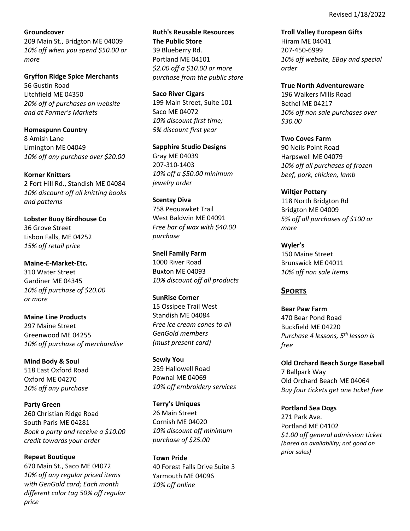## **Groundcover**

209 Main St., Bridgton ME 04009 *10% off when you spend \$50.00 or more*

**Gryffon Ridge Spice Merchants**  56 Gustin Road Litchfield ME 04350 *20% off of purchases on website and at Farmer's Markets*

**Homespunn Country**  8 Amish Lane Limington ME 04049 *10% off any purchase over \$20.00*

**Korner Knitters** 2 Fort Hill Rd., Standish ME 04084 *10% discount off all knitting books and patterns*

**Lobster Buoy Birdhouse Co** 36 Grove Street Lisbon Falls, ME 04252 *15% off retail price*

**Maine‐E‐Market‐Etc.** 310 Water Street Gardiner ME 04345 *10% off purchase of \$20.00 or more*

**Maine Line Products** 297 Maine Street Greenwood ME 04255 *10% off purchase of merchandise* 

**Mind Body & Soul**  518 East Oxford Road Oxford ME 04270 *10% off any purchase*

**Party Green** 260 Christian Ridge Road South Paris ME 04281 *Book a party and receive a \$10.00 credit towards your order* 

**Repeat Boutique** 670 Main St., Saco ME 04072 *10% off any regular priced items with GenGold card; Each month different color tag 50% off regular price*

**Ruth's Reusable Resources The Public Store** 39 Blueberry Rd. Portland ME 04101 *\$2.00 off a \$10.00 or more purchase from the public store*

**Saco River Cigars** 199 Main Street, Suite 101 Saco ME 04072 *10% discount first time; 5% discount first year*

**Sapphire Studio Designs** Gray ME 04039 207‐310‐1403 *10% off a \$50.00 minimum jewelry order*

**Scentsy Diva** 758 Pequawket Trail West Baldwin ME 04091 *Free bar of wax with \$40.00 purchase*

**Snell Family Farm** 1000 River Road Buxton ME 04093 *10% discount off all products*

**SunRise Corner** 15 Ossipee Trail West Standish ME 04084 *Free ice cream cones to all GenGold members (must present card)*

**Sewly You** 239 Hallowell Road Pownal ME 04069 *10% off embroidery services*

**Terry's Uniques**  26 Main Street Cornish ME 04020 *10% discount off minimum purchase of \$25.00*

**Town Pride** 40 Forest Falls Drive Suite 3 Yarmouth ME 04096 *10% off online*

**Troll Valley European Gifts** Hiram ME 04041 207‐450‐6999 *10% off website, EBay and special order*

**True North Adventureware** 196 Walkers Mills Road Bethel ME 04217 *10% off non sale purchases over \$30.00*

**Two Coves Farm** 90 Neils Point Road Harpswell ME 04079 *10% off all purchases of frozen beef, pork, chicken, lamb*

**Wiltjer Pottery** 118 North Bridgton Rd Bridgton ME 04009 *5% off all purchases of \$100 or more*

**Wyler's** 150 Maine Street Brunswick ME 04011 *10% off non sale items*

# **SPORTS**

**Bear Paw Farm** 470 Bear Pond Road Buckfield ME 04220 *Purchase 4 lessons, 5th lesson is free*

**Old Orchard Beach Surge Baseball** 7 Ballpark Way Old Orchard Beach ME 04064 *Buy four tickets get one ticket free*

**Portland Sea Dogs** 271 Park Ave. Portland ME 04102 *\$1.00 off general admission ticket (based on availability; not good on prior sales)*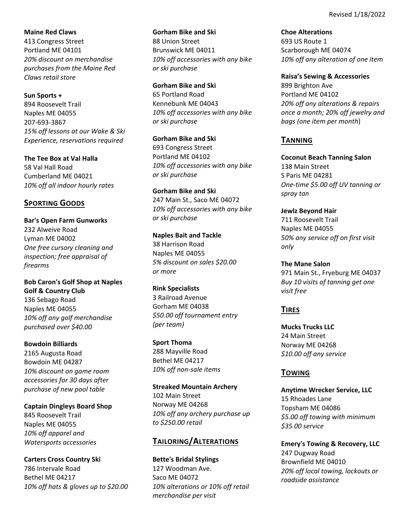**Maine Red Claws** 413 Congress Street Portland ME 04101 *20% discount on merchandise purchases from the Maine Red Claws retail store*

**Sun Sports +** 894 Roosevelt Trail Naples ME 04055 207‐693‐3867 *15% off lessons at our Wake & Ski Experience, reservations required*

**The Tee Box at Val Halla** 58 Val Hall Road Cumberland ME 04021 *10% off all indoor hourly rates*

## **SPORTING GOODS**

**Bar's Open Farm Gunworks** 232 Alweive Road Lyman ME 04002 *One free cursory cleaning and inspection; free appraisal of firearms*

**Bob Caron's Golf Shop at Naples Golf & Country Club** 136 Sebago Road Naples ME 04055 *10% off any golf merchandise purchased over \$40.00*

**Bowdoin Billiards**  2165 Augusta Road Bowdoin ME 04287 *10% discount on game room accessories for 30 days after purchase of new pool table*

**Captain Dingleys Board Shop** 845 Roosevelt Trail Naples ME 04055 *10% off apparel and Watersports accessories*

**Carters Cross Country Ski**  786 Intervale Road Bethel ME 04217 *10% off hats & gloves up to \$20.00*

**Gorham Bike and Ski** 88 Union Street Brunswick ME 04011 *10% off accessories with any bike or ski purchase*

**Gorham Bike and Ski** 65 Portland Road Kennebunk ME 04043 *10% off accessories with any bike or ski purchase*

**Gorham Bike and Ski** 693 Congress Street Portland ME 04102 *10% off accessories with any bike or ski purchase*

**Gorham Bike and Ski** 247 Main St., Saco ME 04072 *10% off accessories with any bike or ski purchase*

**Naples Bait and Tackle** 38 Harrison Road Naples ME 04055 *5% discount on sales \$20.00 or more*

**Rink Specialists** 3 Railroad Avenue Gorham ME 04038 *\$50.00 off tournament entry (per team)*

**Sport Thoma** 288 Mayville Road Bethel ME 04217 *10% off non‐sale items*

**Streaked Mountain Archery** 102 Main Street Norway ME 04268 *10% off any archery purchase up to \$250.00 retail*

## **TAILORING/ALTERATIONS**

**Bette's Bridal Stylings** 127 Woodman Ave. Saco ME 04072 *10% alterations or 10% off retail merchandise per visit*

**Choe Alterations** 693 US Route 1 Scarborough ME 04074 *10% off any alteration of one item*

**Raisa's Sewing & Accessories** 899 Brighton Ave Portland ME 04102 *20% off any alterations & repairs once a month; 20% off jewelry and bags (one item per month*)

## **TANNING**

**Coconut Beach Tanning Salon** 138 Main Street S Paris ME 04281 *One‐time \$5.00 off UV tanning or spray tan*

**Jewlz Beyond Hair**  711 Roosevelt Trail Naples ME 04055 *50% any service off on first visit only* 

**The Mane Salon**  971 Main St., Fryeburg ME 04037 *Buy 10 visits of tanning get one visit free*

# **TIRES**

**Mucks Trucks LLC** 24 Main Street Norway ME 04268 *\$10.00 off any service* 

## **TOWING**

**Anytime Wrecker Service, LLC** 15 Rhoades Lane Topsham ME 04086 *\$5.00 off towing with minimum \$35.00 service*

**Emery's Towing & Recovery, LLC** 247 Dugway Road Brownfield ME 04010 *20% off local towing, lockouts or roadside assistance*